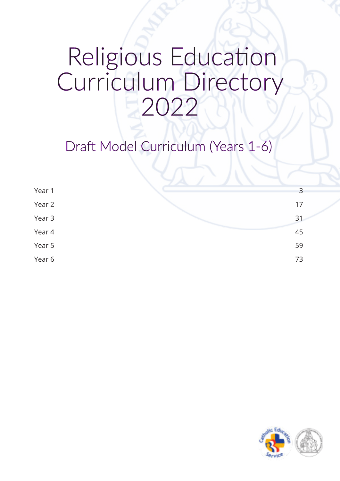# Religious Education Curriculum Directory 2022

Draft Model Curriculum (Years 1-6)

| Year 1 |    | 3 |
|--------|----|---|
| Year 2 | 17 |   |
| Year 3 | 31 |   |
| Year 4 | 45 |   |
| Year 5 | 59 |   |
| Year 6 | 73 |   |

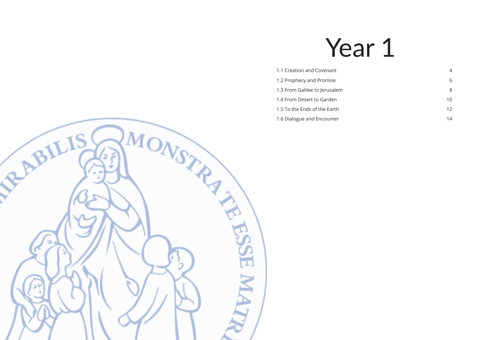# Year 1

- [1.1 Creation and Covenant](#page-2-0) 4
- [1.2 Prophecy and Promise](#page-3-0) 6 and  $\sim$  6
- [1.3 From Galilee to Jerusalem](#page-4-0) 8
- [1.4 From Desert to Garden](#page-5-0) 10 and 10 and 10 and 10 and 10 and 10 and 10 and 10 and 10 and 10 and 10 and 10 and 10 and 10 and 10 and 10 and 10 and 10 and 10 and 10 and 10 and 10 and 10 and 10 and 10 and 10 and 10 and 10 and
- [1.5 To the Ends of the Earth](#page-6-0) 12
- [1.6 Dialogue and Encounter](#page-7-0) 14 and 200 million 2012 14

<span id="page-1-0"></span>

- 
-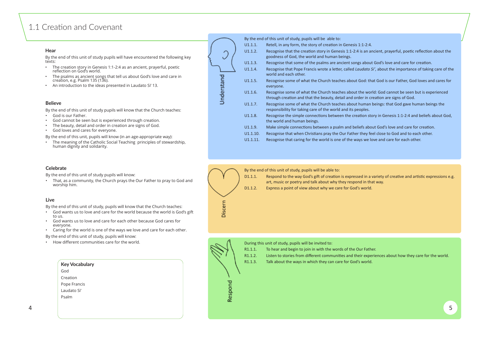## <span id="page-2-0"></span>1.1 Creation and Covenant

#### **Hear**

By the end of this unit of study pupils will have encountered the following key texts:

- The creation story in Genesis 1:1-2:4 as an ancient, prayerful, poetic reflection on God's world.
- The psalms as ancient songs that tell us about God's love and care in creation, e.g. Psalm 135 (136).
- An introduction to the ideas presented in Laudato Si' 13.

#### **Believe**

By the end of this unit of study, pupils will be able to: U1.1.1. Retell, in any form, the story of creation in Genesis 1:1-2:4. U1.1.2. Recognise that the creation story in Genesis 1:1-2:4 is an ancient, prayerful, poetic reflection about the goodness of God, the world and human beings. U1.1.3. Recognise that some of the psalms are ancient songs about God's love and care for creation. U1.1.4. Recognise that Pope Francis wrote a letter, called *Laudato Si'*, about the importance of taking care of the world and each other. U1.1.5. Recognise some of what the Church teaches about God: that God is our Father, God loves and cares for everyone. U1.1.6. Recognise some of what the Church teaches about the world: God cannot be seen but is experienced through creation and that the beauty, detail and order in creation are signs of God. U1.1.7. Recognise some of what the Church teaches about human beings: that God gave human beings the responsibility for taking care of the world and its peoples. U1.1.8. Recognise the simple connections between the creation story in Genesis 1:1-2:4 and beliefs about God, the world and human beings. U1.1.9. Make simple connections between a psalm and beliefs about God's love and care for creation. U1.1.10. Recognise that when Christians pray the Our Father they feel close to God and to each other.

By the end of this unit of study pupils will know that the Church teaches:

- God is our Father.
- God cannot be seen but is experienced through creation.
- The beauty, detail and order in creation are signs of God.
- God loves and cares for everyone.

By the end of this unit, pupils will know (in an age-appropriate way):

• The meaning of the Catholic Social Teaching principles of stewardship, human dignity and solidarity.

> D1.1.1. Respond to the way God's gift of creation is expressed in a variety of creative and artistic expressions e.g. art, music or poetry and talk about why they respond in that way. D1.1.2. Express a point of view about why we care for God's world.

U1.1.11. Recognise that caring for the world is one of the ways we love and care for each other.





By the end of this unit of study pupils will know:

• That, as a community, the Church prays the Our Father to pray to God and worship him.

#### **Live**

By the end of this unit of study, pupils will know that the Church teaches:

- God wants us to love and care for the world because the world is God's gift to us.
- God wants us to love and care for each other because God cares for everyone.
- Caring for the world is one of the ways we love and care for each other.

By the end of this unit of study, pupils will know:

• How different communities care for the world.

By the end of this unit of study, pupils will be able to:

During this unit of study, pupils will be invited to:

- R1.1.1. To hear and begin to join in with the words of the Our Father.
- R1.1.2. Listen to stories from different communities and their experiences about how they care for the world.
- R1.1.3. Talk about the ways in which they can care for God's world.



| <b>Key Vocabulary</b> |  |  |  |
|-----------------------|--|--|--|
| God                   |  |  |  |
| Creation              |  |  |  |
| Pope Francis          |  |  |  |
| l audato Si'          |  |  |  |
| Psalm                 |  |  |  |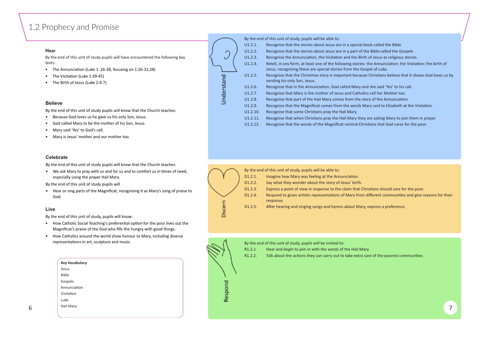## <span id="page-3-0"></span>1.2 Prophecy and Promise

#### **Hear**

By the end of this unit of study pupils will have encountered the following key texts:

- The Annunciation (Luke 1: 26-38, focusing on 1:26-32,38)
- The Visitation (Luke 1:39-45)
- The Birth of Jesus (Luke 2:4-7)

#### **Believe**

By the end of this unit of study pupils will know that the Church teaches:

- Because God loves us he gave us his only Son, Jesus.
- God called Mary to be the mother of his Son, Jesus.
- Mary said 'Yes' to God's call.
- Mary is Jesus' mother and our mother too.

• We ask Mary to pray with us and for us and to comfort us in times of need, especially using the prayer Hail Mary.

|          | By the end of this unit of study, pupils will be able to:  |
|----------|------------------------------------------------------------|
| U1.2.1.  | Recognise that the stories about Jesus are in a special I  |
| U1.2.2.  | Recognise that the stories about Jesus are in a part of t  |
| U1.2.3.  | Recognise the Annunciation, the Visitation and the Birt    |
| U1.2.4.  | Retell, in any form, at least one of the following stories |
|          | Jesus, recognising these are special stories from the Go   |
| U1.2.5.  | Recognise that the Christmas story is important becaus     |
|          | sending his only Son, Jesus.                               |
| U1.2.6.  | Recognise that in the Annunciation, God called Mary at     |
| U1.2.7.  | Recognise that Mary is the mother of Jesus and Cathol      |
| U1.2.8.  | Recognise that part of the Hail Mary comes from the st     |
| U1.2.9.  | Recognise that the Magnificat comes from the words N       |
| U1.2.10. | Recognise that some Christians pray the Hail Mary.         |
| U1.2.11. | Recognise that when Christians pray the Hail Mary the      |
| U1.2.12. | Recognise that the words of the Magnificat remind Chr      |
|          |                                                            |

- R1.2.1. Hear and begin to join in with the words of the Hail Mary
- R1.2.2. Talk about the actions they can carry out to take extra care of the poorest communities
- book called the Bible
- the Bible called the Gospels
- th of Jesus as religious stories.
- the Annunciation; the Visitation; the birth of Jesus of Luke.
- e Christians believe that it shows God loves us by
- nd she said 'Yes' to his call.
- ics call her Mother too.
- tory of the Annunciation
- Mary said to Elizabeth at the Visitation.

If are asking Mary to join them in prayer. ristians that God cares for the poor.



|        | <b>Key Vocabulary</b> |                              |  |
|--------|-----------------------|------------------------------|--|
|        | Jesus                 |                              |  |
|        | Bible                 |                              |  |
|        | Gospels               | ᅙ<br>$\sim$                  |  |
|        | Annunciation          |                              |  |
|        | Visitation            | င္ဟ                          |  |
|        | Luke                  | $\mathbf \omega$<br>$\alpha$ |  |
| ∽<br>ັ | Hail Mary             |                              |  |
|        |                       |                              |  |

#### **Celebrate**

By the end of this unit of study pupils will know that the Church teaches:

By the end of this unit of study pupils will

• Hear or sing parts of the Magnificat, recognising it as Mary's song of praise to God.

#### **Live**

By the end of this unit of study, pupils will know:

- How Catholic Social Teaching's preferential option for the poor lives out the Magnificat's praise of the God who fills the hungry with good things.
- How Catholics around the world show honour to Mary, including diverse representations in art, sculpture and music.





Understand

By the end of this unit of study, pupils will be invited to: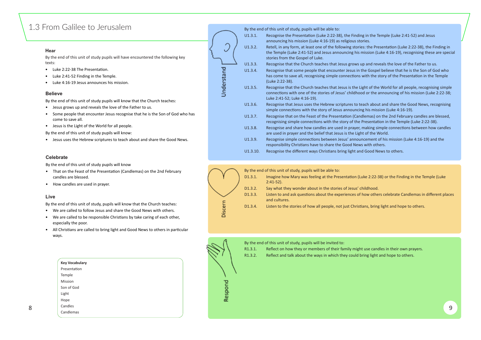## <span id="page-4-0"></span>1.3 From Galilee to Jerusalem

#### **Hear**

By the end of this unit of study pupils will have encountered the following key texts:

- Luke 2:22-38 The Presentation.
- Luke 2:41-52 Finding in the Temple.
- Luke 4:16-19 Jesus announces his mission.

#### **Believe**

By the end of this unit of study pupils will know that the Church teaches:

- Jesus grows up and reveals the love of the Father to us.
- Some people that encounter Jesus recognise that he is the Son of God who has come to save all.
- Jesus is the Light of the World for all people.

By the end of this unit of study pupils will know:

• Jesus uses the Hebrew scriptures to teach about and share the Good News.

By the end of this unit of study, pupils will be able to:

|          | by the end of this anne or staay, papils will be able to.                                                                                                      |
|----------|----------------------------------------------------------------------------------------------------------------------------------------------------------------|
| U1.3.1.  | Recognise the Presentation (Luke 2:22-38), the Finding in<br>announcing his mission (Luke 4:16-19) as religious stories.                                       |
| U1.3.2.  | Retell, in any form, at least one of the following stories: th<br>the Temple (Luke 2:41-52) and Jesus announcing his missi<br>stories from the Gospel of Luke. |
| U1.3.3.  | Recognise that the Church teaches that Jesus grows up an                                                                                                       |
| U1.3.4.  | Recognise that some people that encounter Jesus in the G<br>has come to save all, recognising simple connections with<br>(Luke 2:22-38).                       |
| U1.3.5.  | Recognise that the Church teaches that Jesus is the Light of<br>connections with one of the stories of Jesus' childhood or<br>Luke 2:41-52; Luke 4:16-19).     |
| U1.3.6.  | Recognise that Jesus uses the Hebrew scriptures to teach<br>simple connections with the story of Jesus announcing his                                          |
| U1.3.7.  | Recognise that on the Feast of the Presentation (Candlem<br>recognising simple connections with the story of the Prese                                         |
| U1.3.8.  | Recognise and share how candles are used in prayer, maki<br>are used in prayer and the belief that Jesus is the Light of                                       |
| U1.3.9.  | Recognise simple connections between Jesus' announcem<br>responsibility Christians have to share the Good News wit                                             |
| U1.3.10. | Recognise the different ways Christians bring light and Go                                                                                                     |
|          |                                                                                                                                                                |

- That on the Feast of the Presentation (Candlemas) on the 2nd February candles are blessed.
- How candles are used in prayer.

- R1.3.1. Reflect on how they or members of their family might use candles in their own prayers.
- R1.3.2. Reflect and talk about the ways in which they could bring light and hope to others.
- in the Temple (Luke 2:41-52) and Jesus
- the Presentation (Luke 2:22-38), the Finding in ssion (Luke 4:16-19), recognising these are special
- and reveals the love of the Father to us. e Gospel believe that he is the Son of God who ith the story of the Presentation in the Temple
- It of the World for all people, recognising simple or the announcing of his mission (Luke 2:22-38;
- ch about and share the Good News, recognising his mission (Luke 4:16-19).
- emas) on the 2nd February candles are blessed, resentation in the Temple (Luke 2:22-38).
- aking simple connections between how candles of the World.
- ement of his mission (Luke 4:16-19) and the with others.
- Good News to others.

e 2:22-38) or the Finding in the Temple (Luke

ow others celebrate Candlemas in different places

ns, bring light and hope to others.

|   | <b>Key Vocabulary</b> |                              |   |
|---|-----------------------|------------------------------|---|
|   | Presentation          |                              |   |
|   | Temple                |                              |   |
|   | Mission               | $\overline{\mathbf{C}}$<br>- |   |
|   | Son of God            |                              |   |
|   | Light                 | င္ဟ                          |   |
|   | Hope                  | <b>Re</b>                    |   |
| 8 | Candles               |                              | 9 |
|   | Candlemas             |                              |   |
|   |                       |                              |   |

U Understand

#### **Celebrate**

By the end of this unit of study pupils will know

#### **Live**

By the end of this unit of study, pupils will know that the Church teaches:

- We are called to follow Jesus and share the Good News with others.
- We are called to be responsible Christians by take caring of each other, especially the poor.
- All Christians are called to bring light and Good News to others in particular ways.

|       | By the end of this unit of study, pupils will be able to: |                                                                                |  |  |  |  |
|-------|-----------------------------------------------------------|--------------------------------------------------------------------------------|--|--|--|--|
|       | D1.3.1.                                                   | Imagine how Mary was feeling at the Presentation (Luke 2:22-3<br>$2:41-52$ ).  |  |  |  |  |
|       | D1.3.2.                                                   | Say what they wonder about in the stories of Jesus' childhood.                 |  |  |  |  |
|       | D1.3.3.                                                   | Listen to and ask questions about the experiences of how othe<br>and cultures. |  |  |  |  |
| scern | D1.3.4.                                                   | Listen to the stories of how all people, not just Christians, bring            |  |  |  |  |



By the end of this unit of study, pupils will be invited to: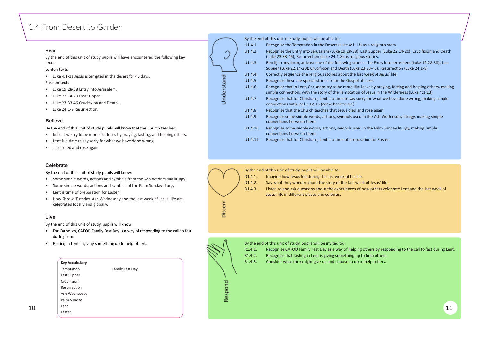## <span id="page-5-0"></span>1.4 From Desert to Garden

#### **Hear**

By the end of this unit of study pupils will have encountered the following key texts:

- Luke 19:28-38 Entry into Jerusalem.
- Luke 22:14-20 Last Supper.
- Luke 23:33-46 Crucifixion and Death.
- Luke 24:1-8 Resurrection.

#### **Lenten texts**

• Luke 4:1-13 Jesus is tempted in the desert for 40 days.

#### **Passion texts**

- In Lent we try to be more like Jesus by praying, fasting, and helping others.
- Lent is a time to say sorry for what we have done wrong.
- Jesus died and rose again.

#### **Believe**

By the end of this unit of study pupils will know that the Church teaches:

- Some simple words, actions and symbols from the Ash Wednesday liturgy.
- Some simple words, actions and symbols of the Palm Sunday liturgy.
- Lent is time of preparation for Easter.
- How Shrove Tuesday, Ash Wednesday and the last week of Jesus' life are celebrated locally and globally.

- For Catholics, CAFOD Family Fast Day is a way of responding to the call to fast during Lent.
- Fasting in Lent is giving something up to help others.

| U1.4.1.  | Recognise the Temptation in the Desert (Luke 4:1-13) as a religious story.                                                                                 |
|----------|------------------------------------------------------------------------------------------------------------------------------------------------------------|
| U1.4.2.  | Recognise the Entry into Jerusalem (Luke 19:28-38), Last Supper (Luke 22<br>(Luke 23:33-46), Resurrection (Luke 24:1-8) as religious stories.              |
| U1.4.3.  | Retell, in any form, at least one of the following stories: the Entry into Jer<br>Supper (Luke 22:14-20); Crucifixion and Death (Luke 23:33-46); Resurrect |
| U1.4.4.  | Correctly sequence the religious stories about the last week of Jesus' life.                                                                               |
| U1.4.5.  | Recognise these are special stories from the Gospel of Luke.                                                                                               |
| U1.4.6.  | Recognise that in Lent, Christians try to be more like Jesus by praying, fas<br>simple connections with the story of the Temptation of Jesus in the Wilde  |
| U1.4.7.  | Recognise that for Christians, Lent is a time to say sorry for what we have<br>connections with Joel 2:12-13 (come back to me)                             |
| U1.4.8.  | Recognise that the Church teaches that Jesus died and rose again.                                                                                          |
| U1.4.9.  | Recognise some simple words, actions, symbols used in the Ash Wednesd<br>connections between them.                                                         |
| U1.4.10. | Recognise some simple words, actions, symbols used in the Palm Sunday<br>connections between them.                                                         |
|          |                                                                                                                                                            |

U1.4.11. Recognise that for Christians, Lent is a time of preparation for Easter.



D1.4.3. Listen to and ask questions about the experiences of how others celebrate Lent and the last week of Jesus' life in different places and cultures.



#### $\frac{10}{10}$   $\frac{1}{10}$   $\frac{1}{10}$ **Key Vocabulary** Temptation Last Supper Crucifixion Resurrection Ash Wednesday Palm Sunday Lent Family Fast Day

|            | By the end of this u |         |
|------------|----------------------|---------|
|            | U1.4.1.              | Recogr  |
|            | U1.4.2.              | Recogr  |
|            |                      | (Luke 2 |
|            | U1.4.3.              | Retell, |
|            |                      | Supper  |
|            | U1.4.4.              | Correc  |
| Understand | U1.4.5.              | Recogr  |
|            | U1.4.6.              | Recogr  |
|            |                      | simple  |
|            | U1.4.7.              | Recogr  |
|            |                      | conned  |
|            | U1.4.8.              | Recogr  |
|            | U1.4.9.              | Recogr  |
|            |                      | conned  |
|            | U1.4.10.             | Recogr  |
|            |                      |         |

anit of study, pupils will be able to:

#### **Celebrate**

By the end of this unit of study pupils will know:

#### **Live**

By the end of this unit of study, pupils will know:

By the end of this unit of study, pupils will be able to:

D1.4.1. Imagine how Jesus felt during the last week of his life.

D1.4.2. Say what they wonder about the story of the last week of Jesus' life.

By the end of this unit of study, pupils will be invited to:

- R1.4.1. Recognise CAFOD Family Fast Day as a way of helping others by responding to the call to fast during Lent.
- R1.4.2. Recognise that fasting in Lent is giving something up to help others.
- R1.4.3. Consider what they might give up and choose to do to help others.



- It Supper (Luke 22:14-20), Crucifixion and Death s stories.
- the Entry into Jerusalem (Luke 19:28-38); Last:
- $3:33-46$ ); Resurrection (Luke 24:1-8)
- week of Jesus' life.
- 
- esus by praying, fasting and helping others, making f Jesus in the Wilderness (Luke 4:1-13)
- y for what we have done wrong, making simple
- rose again. n the Ash Wednesday liturgy, making simple
- n the Palm Sunday liturgy, making simple
- 

Easter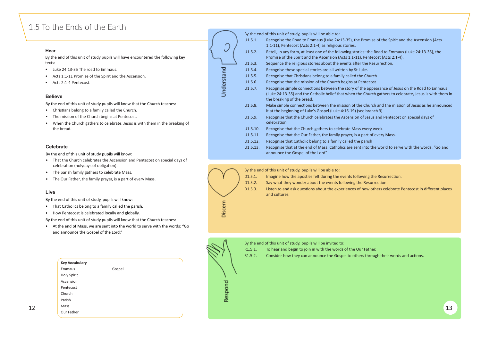## <span id="page-6-0"></span>1.5 To the Ends of the Earth

#### **Hear**

By the end of this unit of study pupils will have encountered the following key texts:

- Luke 24:13-35 The road to Emmaus.
- Acts 1:1-11 Promise of the Spirit and the Ascension.
- Acts 2:1-4 Pentecost.

#### **Believe**

- Christians belong to a family called the Church.
- The mission of the Church begins at Pentecost.
- When the Church gathers to celebrate, Jesus is with them in the breaking of the bread.

By the end of this unit of study pupils will know that the Church teaches:

|          | By the end of this unit of study, pupils will be able to:                                                                                                 |
|----------|-----------------------------------------------------------------------------------------------------------------------------------------------------------|
| U1.5.1.  | Recognise the Road to Emmaus (Luke 24:13-35), the Promise<br>1:1-11), Pentecost (Acts 2:1-4) as religious stories.                                        |
| U1.5.2.  | Retell, in any form, at least one of the following stories: the Re<br>Promise of the Spirit and the Ascension (Acts 1:1-11), Pentecc                      |
| U1.5.3.  | Sequence the religious stories about the events after the Resu                                                                                            |
| U1.5.4.  | Recognise these special stories are all written by St Luke.                                                                                               |
| U1.5.5.  | Recognise that Christians belong to a family called the Church                                                                                            |
| U1.5.6.  | Recognise that the mission of the Church begins at Pentecost                                                                                              |
| U1.5.7.  | Recognise simple connections between the story of the appea<br>(Luke 24:13-35) and the Catholic belief that when the Church<br>the breaking of the bread. |
| U1.5.8.  | Make simple connections between the mission of the Church<br>it at the beginning of Luke's Gospel (Luke 4:16-19) (see branch                              |
| U1.5.9.  | Recognise that the Church celebrates the Ascension of Jesus a<br>celebration.                                                                             |
| U1.5.10. | Recognise that the Church gathers to celebrate Mass every wo                                                                                              |
| U1.5.11. | Recognise that the Our Father, the family prayer, is a part of e                                                                                          |
| U1.5.12. | Recognise that Catholic belong to a family called the parish                                                                                              |
| U1.5.13. | Recognise that at the end of Mass, Catholics are sent into the<br>announce the Gospel of the Lord"                                                        |
|          |                                                                                                                                                           |



- D1.5.1. Imagine how the apostles felt during the events following the Resurrection.
- 
- D1.5.2. Say what they wonder about the events following the Resurrection.
- D1.5.3. Listen to and ask questions about the experiences of how others celebrate Pentecost in different places and cultures.



- R1.5.1. To hear and begin to join in with the words of the Our Father.
- R1.5.2. Consider how they can announce the Gospel to others through their words and actions.

Promise of the Spirit and the Ascension (Acts

- es: the Road to Emmaus (Luke 24:13-35), the Pentecost (Acts 2:1-4).
- the Resurrection.
- 
- 
- 
- he appearance of Jesus on the Road to Emmaus (Church gathers to celebrate, Jesus is with them in
- Unter 2.5.5.8. Make mission of Jesus as he announced the Church and the mission of Jesus as he announced e branch 3)
- of Jesus and Pentecost on special days of
- every week.
- part of every Mass.
- 
- into the world to serve with the words: "Go and

#### **Celebrate**

By the end of this unit of study pupils will know:

- That the Church celebrates the Ascension and Pentecost on special days of celebration (holydays of obligation).
- The parish family gathers to celebrate Mass.
- The Our Father, the family prayer, is a part of every Mass.

#### **Live**

By the end of this unit of study, pupils will know:

- That Catholics belong to a family called the parish.
- How Pentecost is celebrated locally and globally.

By the end of this unit of study pupils will know that the Church teaches:

• At the end of Mass, we are sent into the world to serve with the words: "Go and announce the Gospel of the Lord."

By the end of this unit of study, pupils will be able to:

By the end of this unit of study, pupils will be invited to:

|    | <b>Key Vocabulary</b> |           |
|----|-----------------------|-----------|
|    | Gospel<br>Emmaus      |           |
|    | Holy Spirit           |           |
|    | Ascension             | ᅙ         |
|    | Pentecost             |           |
|    | Church                | င္ဟ       |
|    | Parish                | <b>Re</b> |
| 12 | Mass                  |           |
|    | Our Father            |           |
|    |                       |           |

 $\ddot{\phantom{0}}$ Understand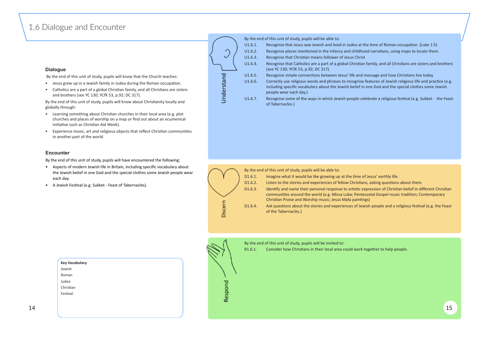## <span id="page-7-0"></span>1.6 Dialogue and Encounter

#### **Dialogue**

By the end of this unit of study, pupils will know that the Church teaches:

- Jesus grew up in a Jewish family in Judea during the Roman occupation.
- Catholics are a part of a global Christian family, and all Christians are sisters and brothers (see YC 130; YCfK 53, p.92; DC 317).

By the end of this unit of study, pupils will know about Christianity locally and globally through:

- Learning something about Christian churches in their local area (e.g. plot churches and places of worship on a map or find out about an ecumenical initiative such as Christian Aid Week).
- Experience music, art and religious objects that reflect Christian communities in another part of the world.

- Aspects of modern Jewish life in Britain, including specific vocabulary about the Jewish belief in one God and the special clothes some Jewish people wear each day.
- A Jewish Festival (e.g. Sukkot Feast of Tabernacles).



#### **Encounter**

By the end of this unit of study, pupils will have encountered the following:





- 
- 
- 
- 
- 

- 
- 
- 
- 
- 

R1.6.1. Consider how Christians in their local area could work together to help people.



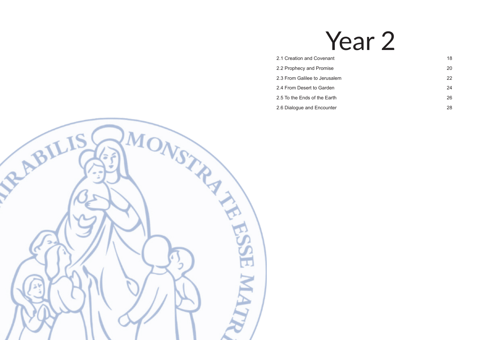# Year 2

- [2.1 Creation and Covenant](#page-9-0) 18
- [2.2 Prophecy and Promise](#page-10-0) 20 20
- [2.3 From Galilee to Jerusalem](#page-11-0) 22
- [2.4 From Desert to Garden](#page-12-0) 24
- [2.5 To the Ends of the Earth](#page-13-0) 26
- [2.6 Dialogue and Encounter](#page-14-0) 28 and 28

<span id="page-8-0"></span>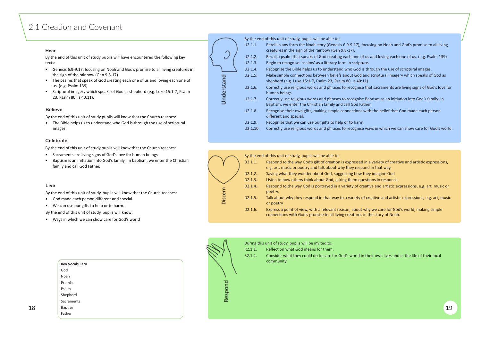## <span id="page-9-0"></span>2.1 Creation and Covenant

#### **Hear**

By the end of this unit of study pupils will have encountered the following key texts:

- Genesis 6:9-9:17, focusing on Noah and God's promise to all living creatures in the sign of the rainbow (Gen 9:8-17)
- The psalms that speak of God creating each one of us and loving each one of us. (e.g. Psalm 139)
- Scriptural imagery which speaks of God as shepherd (e.g. Luke 15:1-7, Psalm 23, Psalm 80, Is 40:11).

#### **Believe**

By the end of this unit of study pupils will know that the Church teaches:

• The Bible helps us to understand who God is through the use of scriptural images.

- God made each person different and special.
- We can use our gifts to help or to harm.



#### **Celebrate**

By the end of this unit of study pupils will know that the Church teaches:

- Sacraments are living signs of God's love for human beings
- Baptism is an initiation into God's family. In baptism, we enter the Christian family and call God Father.

#### **Live**

By the end of this unit of study, pupils will know that the Church teaches:

By the end of this unit of study, pupils will know:

• Ways in which we can show care for God's world





- 
- 
- 
- 
- 
- 

- 
- 
- 
- 

R2.1.2. Consider what they could do to care for God's world in their own lives and in the life of their local

|    | <b>Key Vocabulary</b> |     | community. |  |
|----|-----------------------|-----|------------|--|
|    | God                   |     |            |  |
|    | Noah                  |     |            |  |
|    | Promise               | ᇃ   |            |  |
|    | Psalm                 |     |            |  |
|    | Shepherd              | င္ဟ |            |  |
|    | Sacraments            | &   |            |  |
| 18 | Baptism               |     | 19         |  |
|    | Father                |     |            |  |
|    |                       |     |            |  |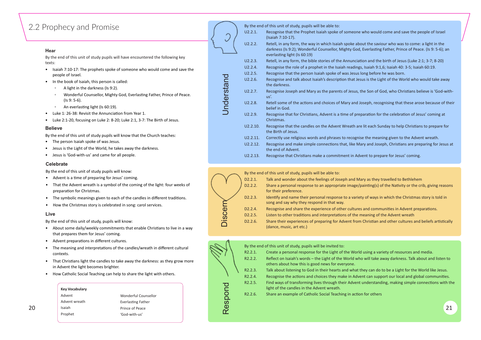## <span id="page-10-0"></span>2.2 Prophecy and Promise

#### **Hear**

By the end of this unit of study pupils will have encountered the following key texts:

- Isaiah 7:10-17: The prophets spoke of someone who would come and save the people of Israel.
- In the book of Isaiah, this person is called:
	- A light in the darkness (Is 9:2).
	- Wonderful Counsellor, Mighty God, Everlasting Father, Prince of Peace. (Is 9: 5-6).
	- An everlasting light (Is 60:19).
- Luke 1: 26-38: Revisit the Annunciation from Year 1.
- Luke 2:1-20, focusing on Luke 2: 8-20; Luke 2:1, 3-7: The Birth of Jesus.

#### **Believe**

By the end of this unit of study pupils will know that the Church teaches:

- The person Isaiah spoke of was Jesus.
- Jesus is the Light of the World, he takes away the darkness.
- Jesus is 'God-with-us' and came for all people.

- Advent is a time of preparing for Jesus' coming.
- That the Advent wreath is a symbol of the coming of the light: four weeks of preparation for Christmas.
- The symbolic meanings given to each of the candles in different traditions.
- How the Christmas story is celebrated in song: carol services.

|          | By the end of this unit of study, pupils will be able to:                                                                                         |
|----------|---------------------------------------------------------------------------------------------------------------------------------------------------|
| U2.2.1.  | Recognise that the Prophet Isaiah spoke of someone w<br>(Isaiah 7:10-17).                                                                         |
| U2.2.2.  | Retell, in any form, the way in which Isaiah spoke abou<br>darkness (Is 9:2); Wonderful Counsellor, Mighty God, E<br>everlasting light (Is 60:19) |
| U2.2.3.  | Retell, in any form, the bible stories of the Annunciatio                                                                                         |
| U2.2.4.  | Recognise the role of a prophet in the Isaiah readings,                                                                                           |
| U2.2.5.  | Recognise that the person Isaiah spoke of was Jesus lor                                                                                           |
| U2.2.6.  | Recognise and talk about Isaiah's description that Jesus<br>the darkness.                                                                         |
| U2.2.7.  | Recognise Joseph and Mary as the parents of Jesus, the<br>$us'$ .                                                                                 |
| U2.2.8.  | Retell some of the actions and choices of Mary and Jos<br>belief in God.                                                                          |
| U2.2.9.  | Recognise that for Christians, Advent is a time of prepa<br>Christmas.                                                                            |
| U2.2.10. | Recognise that the candles on the Advent Wreath are I<br>the Birth of Jesus.                                                                      |
| U2.2.11. | Correctly use religious words and phrases to recognise                                                                                            |
| U2.2.12. | Recognise and make simple connections that, like Marv<br>the end of Advent.                                                                       |
| U2.2.13. | Recognise that Christians make a commitment in Adve                                                                                               |
|          |                                                                                                                                                   |

- About some daily/weekly commitments that enable Christians to live in a way that prepares them for Jesus' coming.
- Advent preparations in different cultures.
- The meaning and interpretations of the candles/wreath in different cultural contexts.
- That Christians light the candles to take away the darkness: as they grow more in Advent the light becomes brighter.
- How Catholic Social Teaching can help to share the light with others.

#### **Celebrate**

 $20$  Staiah Staiah Prince of Peace and the contract of  $21$ Wonderful Counsellor **Everlasting Father** Prince of Peace 'God-with-us'

By the end of this unit of study pupils will know:

#### **Live**

By the end of this unit of study, pupils will know:

|             | By the end of this unit of study, pupils will be able to: |                                                          |  |  |  |  |  |  |
|-------------|-----------------------------------------------------------|----------------------------------------------------------|--|--|--|--|--|--|
|             | D2.2.1.                                                   | Talk and wonder about the feelings of Joseph and Mar     |  |  |  |  |  |  |
|             | D <sub>2</sub> .2.2.                                      | Share a personal response to an appropriate image/pa     |  |  |  |  |  |  |
|             |                                                           | for their preference.                                    |  |  |  |  |  |  |
|             | D <sub>2</sub> .2.3.                                      | Identify and name their personal response to a variety   |  |  |  |  |  |  |
|             |                                                           | song and say why they respond in that way.               |  |  |  |  |  |  |
|             | D <sub>2</sub> .2.4.                                      | Recognise and share the experience of other cultures a   |  |  |  |  |  |  |
| <u>၂၁၁၂</u> | D <sub>2</sub> .2.5.                                      | Listen to other traditions and interpretations of the me |  |  |  |  |  |  |
|             | D <sub>2</sub> .2.6.                                      | Share their experiences of preparing for Advent from C   |  |  |  |  |  |  |
|             |                                                           | (dance, music, art etc.)                                 |  |  |  |  |  |  |
|             |                                                           |                                                          |  |  |  |  |  |  |

| <b>Discern</b> | D <sub>2</sub> .2.4.<br>D <sub>2</sub> .2.5.<br>D <sub>2.2.6</sub> . | song and say why they respond in that way.<br>Recognise and share the experience of other cultures and comm<br>Listen to other traditions and interpretations of the meaning of t<br>Share their experiences of preparing for Advent from Christian a<br>(dance, music, art etc.) |
|----------------|----------------------------------------------------------------------|-----------------------------------------------------------------------------------------------------------------------------------------------------------------------------------------------------------------------------------------------------------------------------------|
|                |                                                                      |                                                                                                                                                                                                                                                                                   |
|                |                                                                      | By the end of this unit of study, pupils will be invited to:                                                                                                                                                                                                                      |
|                | R2.2.1.                                                              | Create a personal response for the Light of the World using a var                                                                                                                                                                                                                 |
|                | R2.2.2.                                                              | Reflect on Isaiah's words - the Light of the World who will take a<br>others about how this is good news for everyone.                                                                                                                                                            |
|                | R2.2.3.                                                              | Talk about listening to God in their hearts and what they can do                                                                                                                                                                                                                  |
|                | R2.2.4.                                                              | Recognise the actions and choices they make in Advent can supp                                                                                                                                                                                                                    |
|                | R2.2.5.                                                              | Find ways of transforming lives through their Advent understand<br>light of the candles in the Advent wreath.                                                                                                                                                                     |
| lespond        | R2.2.6.                                                              | Share an example of Catholic Social Teaching in action for others                                                                                                                                                                                                                 |
|                |                                                                      |                                                                                                                                                                                                                                                                                   |

ho would come and save the people of Israel

- It the saviour who was to come: a light in the verlasting Father, Prince of Peace. (Is 9: 5-6); an
- In and the birth of Jesus (Luke 2:1; 3-7; 8-20) Isaiah 9:1,6; Isaiah 40: 3-5; Isaiah 60:19.
- ng before he was born.
- is the Light of the World who would take away
- **E2.2.2.2.2.2.3. Poseph and Mary and Mary and Son of God-with-**
- seph, recognising that these arose because of their
- Ination for the celebration of Jesus' coming at
- lit each Sunday to help Christians to prepare for
- the meaning given to the Advent wreath. and Joseph, Christians are preparing for Jesus at
- nt to prepare for Jesus' coming.
- y as they travelled to Bethlehem inting(s) of the Nativity or the crib, giving reasons
- of ways in which the Christmas story is told in
- and communities in Advent preparations.
- eaning of the Advent wreath
- Christian and other cultures and beliefs artistically

R2.1.1.2.1.1. Variety of resources and media ke away darkness. Talk about and listen to

do to be a Light for the World like Jesus. support our local and global communities. tanding, making simple connections with the

#### **Key Vocabulary**

Advent Advent wreath Isaiah Prophet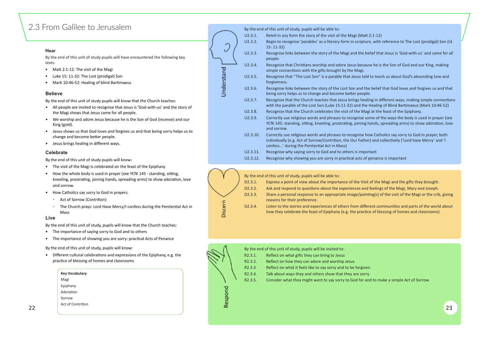## <span id="page-11-0"></span>2.3 From Galilee to Jerusalem

#### **Hear**

By the end of this unit of study pupils will have encountered the following key texts:

- Matt 2:1-12: The visit of the Magi
- Luke 15: 11-32: The Lost (prodigal) Son
- Mark 10:46-52: Healing of blind Bartimaeus

#### **Believe**

By the end of this unit of study pupils will know that the Church teaches:

- All people are invited to recognise that Jesus is 'God-with-us' and the story of the Magi shows that Jesus came for all people.
- We worship and adore Jesus because he is the Son of God (incense) and our King (gold).
- Jesus shows us that God loves and forgives us and that being sorry helps us to change and become better people.
- Jesus brings healing in different ways.

U2.3.2. Begin to recognise 'parables' as a literary form in scripture, with reference to The Lost (prodigal) Son (Lk



U2.3.3. Recognise links between the story of the Magi and the belief that Jesus is 'God-with-us' and came for all

U2.3.4. Recognise that Christians worship and adore Jesus because he is the Son of God and our King, making

old to teach us about God's abounding love and

the belief that God loves and forgives us and that

ealing in different ways, making simple connections he Healing of Blind Bartimaeus (Mark 10:46-52) Aagi at the feast of the Epiphany.

some of the ways the body is used in prayer (see g hands, spreading arms) to show adoration, love

how Catholics say sorry to God in prayer, both her) and collectively ('Lord have Mercy' and 'I

of penance is important

- The importance of saying sorry to God and to others
- The importance of showing you are sorry: practical Acts of Penance

• Different cultural celebrations and expressions of the Epiphany, e.g. the prac�ce of blessing of homes and classrooms

| U2.3.5.  | Recognise that "The Lost Son" is a parable that Jesus told to t<br>forgiveness.                                                                                                 |
|----------|---------------------------------------------------------------------------------------------------------------------------------------------------------------------------------|
| U2.3.6.  | Recognise links between the story of the Lost Son and the bel<br>being sorry helps us to change and become better people.                                                       |
| U2.3.7.  | Recognise that the Church teaches that Jesus brings healing in<br>with the parable of the Lost Son (Luke 15:11-32) and the Heal                                                 |
| U2.3.8.  | Recognise that the Church celebrates the visit of the Magi at t                                                                                                                 |
| U2.3.9.  | Correctly use religious words and phrases to recognise some<br>YCfK 145: standing, sitting, kneeling, prostrating, joining hand<br>and sorrow.                                  |
| U2.3.10. | Correctly use religious words and phrases to recognise how C<br>individually (e.g. Act of Sorrow/Contrition, the Our Father) an<br>confess' during the Penitential Act in Mass) |
| U2.3.11. | Recognise why saying sorry to God and to others is important                                                                                                                    |
| U2.3.12. | Recognise why showing you are sorry in practical acts of pena                                                                                                                   |

|    | <b>Key Vocabulary</b> |                | R <sub>2.3.4</sub> . | Talk about ways they and others show that they are sorry.                                 |
|----|-----------------------|----------------|----------------------|-------------------------------------------------------------------------------------------|
|    | Magi                  |                | R <sub>2</sub> .3.5. | Consider what they might want to say sorry to God for and to make a simple Act of Sorrow. |
|    | Epiphany              |                |                      |                                                                                           |
|    | Adoration             |                |                      |                                                                                           |
|    | Sorrow                |                |                      |                                                                                           |
| 22 | Act of Contrition     | o<br>$\propto$ |                      | 23                                                                                        |

#### **Celebrate**

By the end of this unit of study pupils will know:

- The visit of the Magi is celebrated on the feast of the Epiphany
- How the whole body is used in prayer (see YCfK 145 standing, sitting, kneeling, prostrating, joining hands, spreading arms) to show adoration, love and sorrow.
- How Catholics say sorry to God in prayers:
	- Act of Sorrow (Contri�on)
	- The Church prays: Lord Have Mercy/I confess during the Peniten�al Act in Mass

#### **Live**

By the end of this unit of study, pupils will know that the Church teaches:

By the end of this unit of study, pupils will know:





|                      | By the end of this unit of study, pupils will be invited to: |
|----------------------|--------------------------------------------------------------|
| R <sub>2</sub> .3.1. | Reflect on what gifts they can bring to Jesus                |
| R2.3.2.              | Reflect on how they can adore and worship Jesus              |

- R2.3.3. Reflect on what it feels like to say sorry and to be forgiven.
- R2.3.4. Talk about ways they and others show that they are sorry.



R2.3.5. Consider what they might want to say sorry to God for and to make a simple Act of Sorrow.

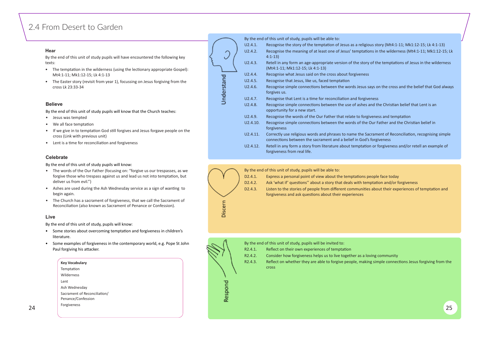## <span id="page-12-0"></span>2.4 From Desert to Garden

#### **Hear**

By the end of this unit of study pupils will have encountered the following key texts:

- The temptation in the wilderness (using the lectionary appropriate Gospel): Mt4:1-11; Mk1:12-15; Lk 4:1-13
- The Easter story (revisit from year 1), focussing on Jesus forgiving from the cross Lk 23:33-34

- Jesus was tempted
- We all face temptation
- If we give in to temptation God still forgives and Jesus forgave people on the cross (Link with previous unit)
- Lent is a time for reconciliation and forgiveness

#### **Believe**

By the end of this unit of study pupils will know that the Church teaches:

- The words of the Our Father (focusing on: "forgive us our trespasses, as we forgive those who trespass against us and lead us not into temptation, but deliver us from evil.")
- Ashes are used during the Ash Wednesday service as a sign of wanting to begin again.
- The Church has a sacrament of forgiveness, that we call the Sacrament of Reconciliation (also known as Sacrament of Penance or Confession).





|    | <b>Key Vocabulary</b>                              |                     | R <sub>2</sub> .4.3. | Reflect on whether they are able to forgive people, making simple connections Jesus forgiving from the |
|----|----------------------------------------------------|---------------------|----------------------|--------------------------------------------------------------------------------------------------------|
|    | Temptation                                         |                     |                      | <b>Cross</b>                                                                                           |
|    | Wilderness                                         |                     |                      |                                                                                                        |
|    | Lent                                               |                     |                      |                                                                                                        |
|    | Ash Wednesday                                      |                     |                      |                                                                                                        |
|    | Sacrament of Reconciliation/<br>Penance/Confession | <u><sub>"</sub></u> |                      |                                                                                                        |
|    |                                                    | $\alpha$            |                      |                                                                                                        |
| 24 | Forgiveness                                        |                     |                      | 25                                                                                                     |
|    |                                                    |                     |                      |                                                                                                        |

#### **Celebrate**

By the end of this unit of study pupils will know:

#### **Live**

By the end of this unit of study, pupils will know:

- Some stories about overcoming temptation and forgiveness in children's literature.
- Some examples of forgiveness in the contemporary world, e.g. Pope St John Paul forgiving his attacker.

By the end of this unit of study, pupils will be able to:

D2.4.1. Express a personal point of view about the temptations people face today D2.4.2. Ask 'what if' questions'' about a story that deals with temptation and/or forgiveness D2.4.3. Listen to the stories of people from different communities about their experiences of temptation and

forgiveness and ask questions about their experiences



|                      | By the end of this unit of study, pupils will be invited to:          |
|----------------------|-----------------------------------------------------------------------|
| R2.4.1.              | Reflect on their own experiences of temptation                        |
| R <sub>2</sub> .4.2. | Consider how forgiveness helps us to live together as                 |
| R2.4.3.              | Reflect on whether they are able to forgive people, m<br><b>Cross</b> |

a loving community haking simple connections Jesus forgiving from the

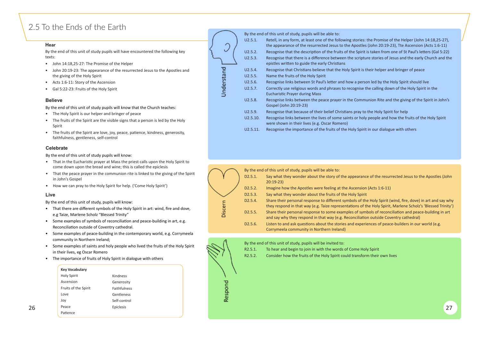## <span id="page-13-0"></span>2.5 To the Ends of the Earth

### **Hear**

By the end of this unit of study pupils will have encountered the following key texts:

- John 14:18,25-27: The Promise of the Helper
- John 20:19-23: The appearance of the resurrected Jesus to the Apostles and the giving of the Holy Spirit
- Acts 1:6-11: Story of the Ascension
- Gal 5:22-23: Fruits of the Holy Spirit

#### **Believe**

By the end of this unit of study pupils will know that the Church teaches:

- The Holy Spirit is our helper and bringer of peace
- The fruits of the Spirit are the visible signs that a person is led by the Holy Spirit
- The fruits of the Spirit are love, joy, peace, patience, kindness, generosity, faithfulness, gentleness, self-control

- That in the Eucharistic prayer at Mass the priest calls upon the Holy Spirit to come down upon the bread and wine; this is called the epiclesis
- That the peace prayer in the communion rite is linked to the giving of the Spirit in John's Gospel
- How we can pray to the Holy Spirit for help. ('Come Holy Spirit')

|                 | By the end of this unit of study, pupils will be able to:                                              |
|-----------------|--------------------------------------------------------------------------------------------------------|
| U2.5.1.         | Retell, in any form, at least one of the following stor                                                |
|                 | the appearance of the resurrected Jesus to the Apos                                                    |
| U2.5.2.         | Recognise that the description of the fruits of the Sp                                                 |
| U2.5.3.         | Recognise that there is a difference between the scr<br>epistles written to guide the early Christians |
| U2.5.4.         | Recognise that Christians believe that the Holy Spirit                                                 |
| U2.5.5.         | Name the fruits of the Holy Spirit                                                                     |
| U2.5.6.         | Recognise links between St Paul's letter and how a p                                                   |
| U2.5.7.         | Correctly use religious words and phrases to recogn<br><b>Eucharistic Prayer during Mass</b>           |
| U2.5.8.         | Recognise links between the peace prayer in the Co<br>Gospel (John 20:19-23)                           |
| U2.5.9.         | Recognise that because of their belief Christians pra                                                  |
| U2.5.10.        | Recognise links between the lives of some saints or<br>were shown in their lives (e.g. Oscar Romero)   |
| <b>II2 5 11</b> | Recognise the importance of the fruits of the Holy S                                                   |

Understand

#### **Celebrate**

By the end of this unit of study pupils will know:

#### **Live**

By the end of this unit of study, pupils will know:

- That there are different symbols of the Holy Spirit in art: wind, fire and dove, e.g Taize, Marlene Scholz "Blessed Trinity"
- Some examples of symbols of reconciliation and peace-building in art, e.g. Reconciliation outside of Coventry cathedral.
- Some examples of peace-building in the contemporary world, e.g. Corrymeela community in Northern Ireland;
- Some examples of saints and holy people who lived the fruits of the Holy Spirit in their lives, eg Oscar Romero
- The importance of fruits of Holy Spirit in dialogue with others

|                      | By the end of this unit of study, pupils will be able to:                                                             |
|----------------------|-----------------------------------------------------------------------------------------------------------------------|
| D2.5.1.              | Say what they wonder about the story of the appearanc<br>$20:19-23$                                                   |
| D <sub>2</sub> .5.2. | Imagine how the Apostles were feeling at the Ascension                                                                |
| D <sub>2</sub> .5.3. | Say what they wonder about the fruits of the Holy Spirit                                                              |
| D2.5.4.              | Share their personal response to different symbols of th<br>they respond in that way (e.g. Taize representations of t |
| D <sub>2</sub> .5.5. | Share their personal response to some examples of sym<br>and say why they respond in that way (e.g. Reconciliatio     |
| D <sub>2</sub> .5.6. | Listen to and ask questions about the stories and experi-<br>Corrymeela community in Northern Ireland)                |
|                      |                                                                                                                       |

- By the end of this unit of study, pupils will be invited to:
- R2.5.1. To hear and begin to join in with the words of Come Holy Spirit
- R2.5.2. Consider how the fruits of the Holy Spirit could transform their own lives

ries: the Promise of the Helper (John 14:18,25-27), stles (John 20:19-23), Tte Ascension (Acts 1:6-11) pirit is taken from one of St Paul's letters (Gal 5:22) ripture stories of Jesus and the early Church and the

t is their helper and bringer of peace

- Derson led by the Holy Spirit should live ise the calling down of the Holy Spirit in the
- mmunion Rite and the giving of the Spirit in John's
- U<sub>2</sub> to the Holy Spirit for help holy people and how the fruits of the Holy Spirit
- Spirit in our dialogue with others

nce of the resurrected Jesus to the Apostles (John

- $on$  (Acts 1:6-11)
- 
- the Holy Spirit (wind, fire, dove) in art and say why the Holy Spirit, Marlene Scholz's 'Blessed Trinity') mbols of reconciliation and peace-building in art ion outside Coventry cathedral)
- riences of peace-builders in our world (e.g.



#### **Key Vocabulary**

|    | Holy Spirit          | Kindness     |             |  |    |
|----|----------------------|--------------|-------------|--|----|
|    | Ascension            | Generosity   | ਰ           |  |    |
|    | Fruits of the Spirit | Faithfulness |             |  |    |
|    | Love                 | Gentleness   | ᇿ<br>S<br>ω |  |    |
|    | Joy                  | Self-control | $\propto$   |  |    |
| 26 | Peace                | Epiclesis    |             |  | 27 |
|    | Patience             |              |             |  |    |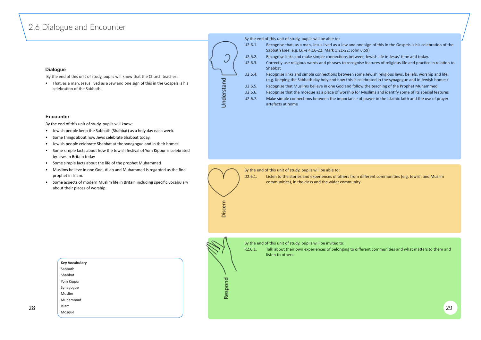## <span id="page-14-0"></span>2.6 Dialogue and Encounter

### **Dialogue**

• That, as a man, Jesus lived as a Jew and one sign of this in the Gospels is his celebration of the Sabbath.



By the end of this unit of study, pupils will know that the Church teaches:

By the end of this unit of study, pupils will be able to:

| J2.6.1. | Recognise that, as a man, Jesus lived as a Jew and one sig<br>Sabbath (see, e.g. Luke 4:16-22; Mark 1:21-22; John 6:59) |
|---------|-------------------------------------------------------------------------------------------------------------------------|
| J2.6.2. | Recognise links and make simple connections between Je                                                                  |
| J2.6.3. | Correctly use religious words and phrases to recognise fea<br>Shabbat                                                   |
| J2.6.4. | Recognise links and simple connections between some Je<br>(e.g. Keeping the Sabbath day holy and how this is celebra    |
| J2.6.5. | Recognise that Muslims believe in one God and follow the                                                                |
| J2.6.6. | Recognise that the mosque as a place of worship for Mus                                                                 |
| J2.6.7. | Make simple connections between the importance of pra<br>artefacts at home                                              |

R2.6.1. Talk about their own experiences of belonging to different communities and what matters to them and listen to others.

- sign of this in the Gospels is his celebration of the
- n Jewish life in Jesus' time and today.
- e features of religious life and practice in relation to
- e Jewish religious laws, beliefs, worship and life. ebrated in the synagogue and in Jewish homes) the teaching of the Prophet Muhammed.
- Auslims and identify some of its special features prayer in the Islamic faith and the use of prayer



#### **Encounter**

By the end of this unit of study, pupils will know:

- Jewish people keep the Sabbath (Shabbat) as a holy day each week.
- Some things about how Jews celebrate Shabbat today.
- Jewish people celebrate Shabbat at the synagogue and in their homes.
- Some simple facts about how the Jewish festival of Yom Kippur is celebrated by Jews in Britain today
- Some simple facts about the life of the prophet Muhammad
- Muslims believe in one God, Allah and Muhammad is regarded as the final prophet in Islam.
- Some aspects of modern Muslim life in Britain including specific vocabulary about their places of worship.

By the end of this unit of study, pupils will be able to:

D2.6.1. Listen to the stories and experiences of others from different communities (e.g. Jewish and Muslim communities), in the class and the wider community.



Discern

By the end of this unit of study, pupils will be invited to:

|    | <b>Key Vocabulary</b> |           |    |
|----|-----------------------|-----------|----|
|    | Sabbath               |           |    |
|    | Shabbat               |           |    |
|    | Yom Kippur            | ᇃ<br>-    |    |
|    | Synagogue             | င္ဟ       |    |
|    | Muslim                | <b>Re</b> |    |
|    | Muhammad              |           |    |
| 28 | Islam                 |           | 29 |
|    | Mosque                |           |    |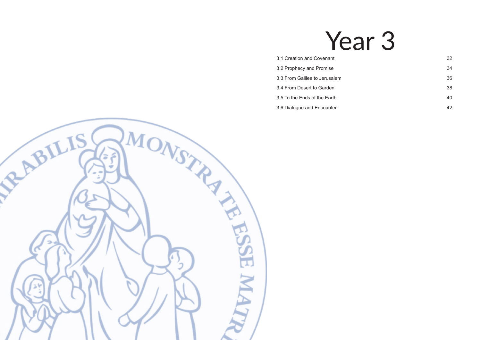# Year 3

- [3.1 Creation and Covenant](#page-16-0) 32
- [3.2 Prophecy and Promise](#page-17-0) 34
- [3.3 From Galilee to Jerusalem](#page-18-0) 36
- [3.4 From Desert to Garden](#page-19-0) 38
- [3.5 To the Ends of the Earth](#page-20-0) 40
- [3.6 Dialogue and Encounter](#page-21-0) 42

<span id="page-15-0"></span>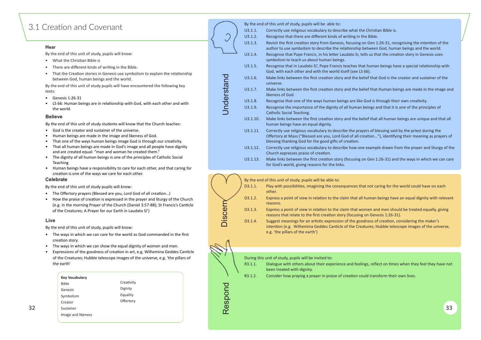## <span id="page-16-0"></span>3.1 Creation and Covenant

#### **Hear**

By the end of this unit of study, pupils will know:

- What the Christian Bible is
- There are different kinds of writing in the Bible.
- That the Creation stories in Genesis use symbolism to explain the relationship between God, human beings and the world.

- God is the creator and sustainer of the universe.
- Human beings are made in the image and likeness of God.
- That one of the ways human beings image God is through our creativity.
- That all human beings are made in God's image and all people have dignity and are created equal: "man and woman he created them."
- The dignity of all human beings is one of the principles of Catholic Social Teaching
- Human beings have a responsibility to care for each other, and that caring for creation is one of the ways we care for each other.

By the end of this unit of study pupils will have encountered the following key texts:

- Genesis 1:26-31
- LS 66: Human beings are in relationship with God, with each other and with the world.

#### **Believe**

By the end of this unit of study students will know that the Church teaches:

- The Offertory prayers (Blessed are you, Lord God of all creation...)
- How the praise of creation is expressed in the prayer and liturgy of the Church (e.g. in the morning Prayer of the Church (Daniel 3:57-88); St Francis's Can�cle of the Creatures; A Prayer for our Earth in Laudato Si')

|          | By the end of this unit of study, pupils will be able to:                                                                                                                            |
|----------|--------------------------------------------------------------------------------------------------------------------------------------------------------------------------------------|
| U3.1.1.  | Correctly use religious vocabulary to describe what the Ch                                                                                                                           |
| U3.1.2.  | Recognise that there are different kinds of writing in the B                                                                                                                         |
| U3.1.3.  | Revisit the first creation story from Genesis, focusing on G<br>author to use symbolism to describe the relationship betw                                                            |
| U3.1.4.  | Recognise that Pope Francis, in his letter Laudato Si, tells u<br>symbolism to teach us about human beings.                                                                          |
| U3.1.5.  | Recognise that in Laudato Si', Pope Francis teaches that hu<br>God, with each other and with the world itself (see LS 66).                                                           |
| U3.1.6.  | Make links between the first creation story and the belief<br>universe.                                                                                                              |
| U3.1.7.  | Make links between the first creation story and the belief<br>likeness of God.                                                                                                       |
| U3.1.8.  | Recognise that one of the ways human beings are like God                                                                                                                             |
| U3.1.9.  | Recognise the importance of the dignity of all human bein<br><b>Catholic Social Teaching.</b>                                                                                        |
| U3.1.10. | Make links between the first creation story and the belief<br>human beings have an equal dignity.                                                                                    |
| U3.1.11. | Correctly use religious vocabulary to describe the prayers<br>Offertory at Mass ("Blessed are you, Lord God of all creation<br>blessing thanking God for the good gifts of creation. |
| U3.1.12. | Correctly use religious vocabulary to describe how one exa<br>Church expresses praise of creation.                                                                                   |
| U3.1.13. | Make links between the first creation story (focusing on G<br>for God's world, giving reasons for the links.                                                                         |
|          |                                                                                                                                                                                      |

#### **Celebrate**

By the end of this unit of study pupils will know:

#### **Live**

By the end of this unit of study, pupils will know:

- The ways in which we can care for the world as God commanded in the first creation story.
- The ways in which we can show the equal dignity of women and men.
- Expressions of the goodness of creation in art, e.g. Wilhemina Geddes Canticle of the Creatures; Hubble telescope images of the universe, e.g. 'the pillars of the earth'

|                |         | By the end of this unit of study, pupils will be able to:                                                                                             |
|----------------|---------|-------------------------------------------------------------------------------------------------------------------------------------------------------|
|                | D3.1.1. | Play with possibilities, imagining the consequences tha<br>other.                                                                                     |
|                | D3.1.2. | Express a point of view in relation to the claim that all<br>reasons.                                                                                 |
| <b>Discerr</b> | D3.1.3. | Express a point of view in relation to the claim that wo<br>reasons that relate to the first creation story (focusing                                 |
|                | D3.1.4. | Suggest meanings for an artistic expression of the good<br>intention (e.g. Wilhemina Geddes Canticle of the Creat<br>e.g. 'the pillars of the earth') |
|                |         |                                                                                                                                                       |
|                |         |                                                                                                                                                       |
|                |         | During this unit of study, pupils will be invited to:                                                                                                 |
|                | R3.1.1. | Dialogue with others about their experience and feelin<br>been treated with dignity.                                                                  |
|                | R3.1.2. | Consider how praying a prayer in praise of creation cou                                                                                               |
| Respond        |         |                                                                                                                                                       |

|         | During this unit of study, pupils will be invited to: |
|---------|-------------------------------------------------------|
| R3.1.1. | Dialogue with others about their experiend            |
|         | been treated with dignity.                            |

- ne Christian Bible is.
- the Bible.
- on Gen 1:26-31, recognising the intention of the between God, human beings and the world. ells us that the creation story in Genesis uses
- at human beings have a special relationship with
- elief that God is the creator and sustainer of the
- elief that Human beings are made in the image and
- God is through their own creativity. beings and that it is one of the principles of
- elief that all human beings are unique and that all
- vers of blessing said by the priest during the reation..."), identifying their meaning as prayers of
- e example drawn from the prayer and liturgy of the
- on Gen 1:26-31) and the ways in which we can care
- t not caring for the world could have on each
- human beings have an equal dignity with relevant
- men and men should be treated equally, giving on Genesis 1:26-31).
- dness of creation, considering the maker's tures; Hubble telescope images of the universe,

ce and feelings, reflect on times when they feel they have not

|    | <b>Key Vocabulary</b> |            |                            | R3.1.2. | Consider how praying a prayer in praise of creation could transform their own lives. |
|----|-----------------------|------------|----------------------------|---------|--------------------------------------------------------------------------------------|
|    | Bible                 | Creativity | $\overline{\phantom{0}}$   |         |                                                                                      |
|    | Genesis               | Dignity    |                            |         |                                                                                      |
|    | Symbolism             | Equality   |                            |         |                                                                                      |
|    | Creator               | Offertory  |                            |         |                                                                                      |
| 32 | Sustainer             |            | $\boldsymbol{\omega}$<br>≃ |         | 33                                                                                   |
|    | Image and likeness    |            |                            |         |                                                                                      |
|    |                       |            |                            |         |                                                                                      |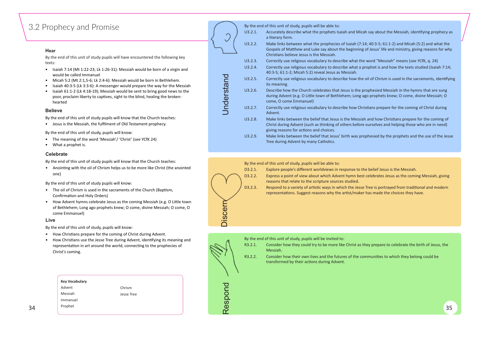## <span id="page-17-0"></span>3.2 Prophecy and Promise

#### **Hear**

By the end of this unit of study pupils will have encountered the following key texts:

- Isaiah 7:14 (Mt 1:22-23; Lk 1:26-31): Messiah would be born of a virgin and would be called Immanuel
- Micah 5:2 (Mt 2:1,5-6; Lk 2:4-6): Messiah would be born in Bethlehem.
- Isaiah 40:3-5 (Lk 3:3-6): A messenger would prepare the way for the Messiah
- Isaiah 61:1-2 (Lk 4:18-19); Messiah would be sent to bring good news to the poor, proclaim liberty to captives, sight to the blind, healing the brokenhearted

#### **Believe**

By the end of this unit of study pupils will know that the Church teaches:

• Jesus is the Messiah, the fulfilment of Old Testament prophecy.

By the end of this unit of study, pupils will know:

- The meaning of the word 'Messiah'/ 'Christ' (see YCfK 24)
- What a prophet is.

• Anointing with the oil of Chrism helps us to be more like Christ (the anointed one)

- The oil of Chrism is used in the sacraments of the Church (Baptism, Confirmation and Holy Orders)
- How Advent hymns celebrate Jesus as the coming Messiah (e.g. O Little town of Bethlehem; Long ago prophets knew; O come, divine Messiah; O come, O come Emmanuel)

- How Christians prepare for the coming of Christ during Advent.
- How Christians use the Jesse Tree during Advent, identifying its meaning and representation in art around the world, connecting to the prophecies of Christ's coming.

|         | By the end of this unit of study, pupils will be able to:                                                                                                    |
|---------|--------------------------------------------------------------------------------------------------------------------------------------------------------------|
| U3.2.1. | Accurately describe what the prophets Isaiah and Mica<br>a literary form.                                                                                    |
| U3.2.2. | Make links between what the prophecies of Isaiah (7:1<br>Gospels of Matthew and Luke say about the beginning<br>Christians believe Jesus is the Messiah.     |
| U3.2.3. | Correctly use religious vocabulary to describe what the                                                                                                      |
| U3.2.4. | Correctly use religious vocabulary to describe what a p<br>40:3-5; 61:1-2; Micah 5:2) reveal Jesus as Messiah.                                               |
| U3.2.5. | Correctly use religious vocabulary to describe how the<br>its meaning.                                                                                       |
| U3.2.6. | Describe how the Church celebrates that Jesus is the p<br>during Advent (e.g. O Little town of Bethlehem; Long a<br>come, O come Emmanuel)                   |
| U3.2.7. | Correctly use religious vocabulary to describe how Chr<br>Advent.                                                                                            |
| U3.2.8. | Make links between the belief that Jesus is the Messia<br>Christ during Advent (such as thinking of others before<br>giving reasons for actions and choices. |
| U3.2.9. | Make links between the belief that Jesus' birth was pro<br>Tree during Advent by many Catholics.                                                             |
|         |                                                                                                                                                              |

reasons that relate to the scripture sources studied. D3.2.3. Respond to a variety of artistic ways in which the Jesse Tree is portrayed from traditional and modern representations. Suggest reasons why the artist/maker has made the choices they have.



|    | <b>Key Vocabulary</b> |            |               |  |
|----|-----------------------|------------|---------------|--|
|    | Advent                | Chrism     | - 200         |  |
|    | Messiah               | Jesse Tree |               |  |
|    | Immanuel              |            |               |  |
| 34 | Prophet               |            | <b>S</b><br>Œ |  |
|    |                       |            | $\sim$        |  |

#### **Celebrate**

By the end of this unit of study pupils will know that the Church teaches:

By the end of this unit of study pupils will know:

#### **Live**

By the end of this unit of study, pupils will know:

#### By the end of this unit of study, pupils will be able to:





D3.2.1. Explore people's different worldviews in response to the belief Jesus is the Messiah. D3.2.2. Express a point of view about which Advent hymn best celebrates Jesus as the coming Messiah, giving

By the end of this unit of study, pupils will be invited to:

Respond  $\overline{\phantom{a}}$  Discern

Discern

R3.2.2. Consider how their own lives and the futures of the communities to which they belong could be transformed by their actions during Advent.

R3.2.1. Consider how they could try to be more like Christ as they prepare to celebrate the birth of Jesus, the

Messiah.

ah say about the Messiah, identifying prophecy as

L4; 40:3-5; 61:1-2) and Micah (5:2) and what the of Jesus' life and ministry, giving reasons for why

e word "Messiah" means (see YCfK, q. 24) orophet is and how the texts studied (Isaiah 7:14;

oil of Chrism is used in the sacraments, identifying

rophesied Messiah in the hymns that are sung go prophets knew; O come, divine Messiah; O

istians prepare for the coming of Christ during

h and how Christians prepare for the coming of christ during during those who are in need)

ophesied by the prophets and the use of the Jesse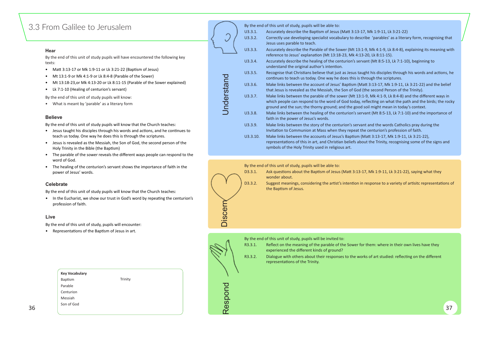## <span id="page-18-0"></span>3.3 From Galilee to Jerusalem

#### **Hear**

By the end of this unit of study pupils will have encountered the following key texts:

- Matt 3:13-17 or Mk 1:9-11 or Lk 3:21-22 (Baptism of Jesus)
- Mt 13:1-9 or Mk 4:1-9 or Lk 8:4-8 (Parable of the Sower)
- Mt 13:18-23,or Mk 4:13-20 or Lk 8:11-15 (Parable of the Sower explained)
- Lk 7:1-10 (Healing of centurion's servant)

By the end of this unit of study pupils will know:

• What is meant by 'parable' as a literary form

#### **Believe**

- Jesus taught his disciples through his words and actions, and he continues to teach us today. One way he does this is through the scriptures.
- Jesus is revealed as the Messiah, the Son of God, the second person of the Holy Trinity in the Bible (the Baptism)
- The parable of the sower reveals the different ways people can respond to the word of God.
- The healing of the centurion's servant shows the importance of faith in the power of Jesus' words.

By the end of this unit of study pupils will know that the Church teaches:

• In the Eucharist, we show our trust in God's word by repeating the centurion's profession of faith.

D3.3.1. Ask questions about the Baptism of Jesus (Matt 3:13-17, Mk 1:9-11, Lk 3:21-22), saying what they wonder about.

D3.3.2. Suggest meanings, considering the artist's intention in response to a variety of artisitc representations of the Baptism of Jesus.



Respond  $\overline{\phantom{a}}$   $\overline{\phantom{a}}$  Discern

Discern

|          | By the end of this unit of study, pupils will be able to:                                                                                                                |
|----------|--------------------------------------------------------------------------------------------------------------------------------------------------------------------------|
| U3.3.1.  | Accurately describe the Baptism of Jesus (Matt 3:13-1                                                                                                                    |
| U3.3.2.  | Correctly use developing specialist vocabulary to desc<br>Jesus uses parable to teach.                                                                                   |
| U3.3.3.  | Accurately describe the Parable of the Sower (Mt 13:1<br>reference to Jesus' explanation (Mt 13:18-23, Mk 4:13                                                           |
| U3.3.4.  | Accurately describe the healing of the centurion's serv<br>understand the original author's intention.                                                                   |
| U3.3.5.  | Recognise that Christians believe that just as Jesus tau<br>continues to teach us today. One way he does this is t                                                       |
| U3.3.6.  | Make links between the account of Jesus' Baptism (M<br>that Jesus is revealed as the Messiah, the Son of God                                                             |
| U3.3.7.  | Make links between the parable of the sower (Mt 13:<br>which people can respond to the word of God today, r<br>ground and the sun; the thorny ground; and the good       |
| U3.3.8.  | Make links between the healing of the centurion's ser<br>faith in the power of Jesus's words.                                                                            |
| U3.3.9.  | Make links between the story of the centurion's serva<br>Invitation to Communion at Mass when they repeat th                                                             |
| U3.3.10. | Make links between the accounts of Jesus's Baptism (I<br>representations of this in art, and Christian beliefs abd<br>symbols of the Holy Trinity used in religious art. |

#### **Celebrate**

By the end of this unit of study pupils will know that the Church teaches:

#### **Live**

By the end of this unit of study, pupils will encounter:

• Representations of the Baptism of Jesus in art.

By the end of this unit of study, pupils will be able to:

By the end of this unit of study, pupils will be invited to:

- R3.3.1. Reflect on the meaning of the parable of the Sower for them: where in their own lives have they experienced the different kinds of ground?
- R3.3.2. Dialogue with others about their responses to the works of art studied: reflecting on the different representations of the Trinity.

U7, Mk 1:9-11, Lk 3:21-22) ribe 'parables' as a literary form, recognising that

1-9, Mk 4:1-9, Lk 8:4-8), explaining its meaning with 8-20, Lk 8:11-15). vant (Mt 8:5-13, Lk 7:1-10), beginning to

ught his disciples through his words and actions, he through the scriptures.

latt 3:13-17, Mk 1:9-11, Lk 3:21-22) and the belief (the second Person of the Trinity).

1-9, Mk 4:1-9, Lk 8:4-8) and the different ways in reflecting on what the path and the birds; the rocky soil might mean in today's context.

rvant (Mt 8:5-13, Lk 7:1-10) and the importance of

ant and the words Catholics pray during the he centurion's profession of faith.

Matt 3:13-17, Mk 1:9-11, Lk 3:21-22),

out the Trinity, recognising some of the signs and

|    | <b>Key Vocabulary</b> |                         |    |
|----|-----------------------|-------------------------|----|
|    | Trinity<br>Baptism    |                         |    |
|    | Parable               | --                      |    |
|    | Centurion             |                         |    |
|    | Messiah               |                         |    |
|    | Son of God            | <b>S</b><br>$\mathbf 0$ |    |
| 36 |                       | ≃                       | 37 |
|    |                       |                         |    |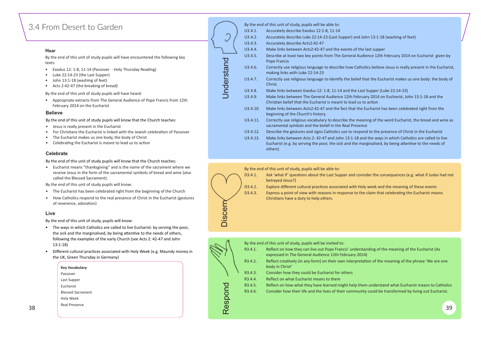## <span id="page-19-0"></span>3.4 From Desert to Garden

#### **Hear**

By the end of this unit of study pupils will have encountered the following key texts:

- Exodus 12: 1-8, 11-14 (Passover Holy Thursday Reading)
- Luke 22:14-23 (the Last Supper)
- John 13:1-18 (washing of feet)
- Acts 2:42-47 (the breaking of bread)

- Jesus is really present in the Eucharist
- For Christians the Eucharist is linked with the Jewish celebration of Passover
- The Eucharist makes us one body, the body of Christ
- Celebrating the Eucharist is meant to lead us to action

By the end of this unit of study pupils will have heard:

• Appropriate extracts from The General Audience of Pope Francis from 12th February 2014 on the Eucharist

#### **Believe**

By the end of this unit of study pupils will know that the Church teaches:

- The Eucharist has been celebrated right from the beginning of the Church
- How Catholics respond to the real presence of Christ in the Eucharist (gestures of reverence, adoration)

D3.4.1. Ask 'what if' questions about the Last Supper and consider the consequences (e.g. what if Judas had not betrayed Jesus?)

D3.4.2. Explore different cultural practices associated with Holy week and the meaning of these events D3.4.3. Express a point of view with reasons in response to the claim that celebrating the Eucharist means

Christians have a duty to help others.

 $38$  39  $\sim$   $\sim$  39  $\sim$ **Key Vocabulary** Passover Last Supper Eucharist Blessed Sacrament Holy Week Real Presence

#### **Celebrate**

By the end of this unit of study pupils will know that the Church teaches:

• Eucharist means "thanksgiving" and is the name of the sacrament where we receive Jesus in the form of the sacramental symbols of bread and wine (also called the Blessed Sacrament).

|            |          | By the end of this unit of study, pupils will be able to:                                                                                          |
|------------|----------|----------------------------------------------------------------------------------------------------------------------------------------------------|
|            | U3.4.1.  | Accurately describe Exodus 12:1-8, 11-14                                                                                                           |
|            | U3.4.2.  | Accurately describe Luke 22:14-23 (Last Supper) and John 13:1-18                                                                                   |
|            | U3.4.3.  | Accurately describe Acts2:42-47                                                                                                                    |
|            | U3.4.4.  | Make links between Acts2:42-47 and the events of the last supper                                                                                   |
|            | U3.4.5.  | Describe at least two key points from The General Audience 12th I<br><b>Pope Francis</b>                                                           |
|            | U3.4.6.  | Correctly use religious language to describe how Catholics believe<br>making links with Luke 22:14-23                                              |
| Understand | U3.4.7.  | Correctly use religious language to identify the belief that the Eucl<br>Christ.                                                                   |
|            | U3.4.8.  | Make links between Exodus 12: 1-8, 11-14 and the Last Supper (Lu                                                                                   |
|            | U3.4.9.  | Make links between The General Audience 12th February 2014 on<br>Christian belief that the Eucharist is meant to lead us to action                 |
|            | U3.4.10. | Make links between Acts2:42-47 and the fact that the Eucharist ha<br>beginning of the Church's history.                                            |
|            | U3.4.11. | Correctly use religious vocabulary to describe the meaning of the<br>sacramental symbols and the belief in the Real Presence                       |
|            | U3.4.12. | Describe the gestures and signs Catholics use to respond to the pr                                                                                 |
|            | U3.4.13. | Make links between Acts 2: 42-47 and John 13:1-18 and the ways<br>Eucharist (e.g. by serving the poor, the sick and the marginalised, I<br>others) |
|            |          |                                                                                                                                                    |

By the end of this unit of study pupils will know:

#### **Live**

By the end of this unit of study, pupils will know:

- The ways in which Catholics are called to live Eucharist: by serving the poor, the sick and the marginalised, by being attentive to the needs of others, following the examples of the early Church (see Acts 2: 42-47 and John 13:1-18)
- Different cultural practices associated with Holy Week (e.g. Maundy money in the UK, Green Thursday in Germany)

#### By the end of this unit of study, pupils will be able to:



| iscern<br>$\Box$ |         |                                                                                                                   |
|------------------|---------|-------------------------------------------------------------------------------------------------------------------|
|                  |         |                                                                                                                   |
|                  |         | By the end of this unit of study, pupils will be invited to:                                                      |
|                  | R3.4.1. | Reflect on how they can live out Pope Francis' understar<br>expressed in The General Audience 12th February 2014) |
|                  | R3.4.2. | Reflect creatively (in any form) on their own interpretation<br>body in Christ'                                   |
|                  | R3.4.3. | Consider how they could be Eucharist for others                                                                   |
|                  | R3.4.4. | Reflect on what Eucharist means to them                                                                           |
|                  | R3.4.5. | Reflect on how what they have learned might help them                                                             |
| Respond          | R3.4.6. | Consider how their life and the lives of their community                                                          |
|                  |         |                                                                                                                   |
|                  |         |                                                                                                                   |
|                  |         |                                                                                                                   |

#### 13:1-18 (washing of feet)

Ice 12th February 2014 on Eucharist given by

Is believe Jesus is really present in the Eucharist,

the Eucharist makes us one body: the body of

upper (Luke 22:14-23)

 $U$ <sub>2014</sub> on Eucharist, John 13:1-18 and the

charist has been celebrated right from the

g of the word Eucharist, the bread and wine as

to the presence of Christ in the Eucharist he ways in which Catholics are called to live

inalised, by being attentive to the needs of

anding of the meaning of the Eucharist (As ation of the meaning of the phrase 'We are one

m understand what Eucharist means to Catholics y could be transformed by living out Eucharist.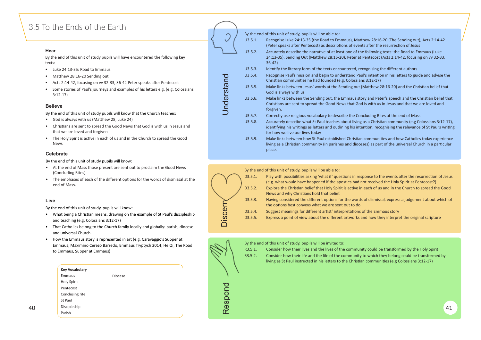## <span id="page-20-0"></span>3.5 To the Ends of the Earth

#### **Hear**

By the end of this unit of study pupils will have encountered the following key texts:

- Luke 24:13-35: Road to Emmaus
- Matthew 28:16-20 Sending out
- Acts 2:14-42, focusing on vv 32-33, 36-42 Peter speaks after Pentecost
- Some stories of Paul's journeys and examples of his letters e.g. (e.g. Colossians 3:12-17)

- God is always with us (Matthew 28, Luke 24)
- Christians are sent to spread the Good News that God is with us in Jesus and that we are loved and forgiven
- The Holy Spirit is active in each of us and in the Church to spread the Good News

#### **Believe**

By the end of this unit of study pupils will know that the Church teaches:

- What being a Christian means, drawing on the example of St Paul's discipleship and teaching (e.g. Colossians 3:12-17)
- That Catholics belong to the Church family locally and globally: parish, diocese and universal Church.
- How the Emmaus story is represented in art (e.g. Caravaggio's Supper at Emmaus; Maximino Cerezo Barredo, Emmaus Tryptych 2014; He Qi, The Road to Emmaus, Supper at Emmaus)
- R3.5.1. Consider how their lives and the lives of the community could be transformed by the Holy Spirit R3.5.2. Consider how their life and the life of the community to which they belong could be transformed by living as St Paul instructed in his letters to the Christian communities (e.g Colossians 3:12-17)
- 



- W 28:16-20 (The Sending out), Acts 2:14-42 after the resurrection of Jesus ollowing texts: the Road to Emmaus (Luke ntecost (Acts 2:14-42, focusing on vv 32-33,
- gnising the different authors intention in his letters to guide and advise the  $3:12-17$ atthew 28:16-20) and the Christian belief that
- and Peter's speech and the Christian belief that with us in Jesus and that we are loved and
- uding Rites at the end of Mass a Christian community (e.g Colossians 3:12-17), ion, recognising the relevance of St Paul's writing
- I3.5.5.5. Make make and how Catholics today experience s) as part of the universal Church in a particular
- onse to the events after the resurrection of Jesus ot received the Holy Spirit at Pentecost?) each of us and in the Church to spread the Good
- of dismissal, express a judgement about which of
- of the Emmaus story nd how they interpret the original scripture

|    | <b>Key Vocabulary</b> |                                     |    |
|----|-----------------------|-------------------------------------|----|
|    | Emmaus<br>Diocese     |                                     |    |
|    | Holy Spirit           | $\overline{\mathbf{C}}$             |    |
|    | Pentecost             |                                     |    |
|    | Conclusing rite       | $\sqrt{2}$<br>$\tilde{\phantom{a}}$ |    |
|    | St Paul               | ᆇ<br>$\boldsymbol{\omega}$          |    |
| 40 | Discipleship          | $\mathbf 0$                         | 41 |
|    | Parish                | $\alpha$                            |    |

#### **Celebrate**

By the end of this unit of study pupils will know:

- At the end of Mass those present are sent out to proclaim the Good News (Concluding Rites)
- The emphases of each of the different options for the words of dismissal at the end of Mass.

|            |         | By the end of this unit of study, pupils will be able to:                                                                                                   |
|------------|---------|-------------------------------------------------------------------------------------------------------------------------------------------------------------|
|            | U3.5.1. | Recognise Luke 24:13-35 (the Road to Emmaus), Matthe<br>(Peter speaks after Pentecost) as descriptions of events a                                          |
|            | U3.5.2. | Accurately describe the narrative of at least one of the fo<br>24:13-35), Sending Out (Matthew 28:16-20), Peter at Pe<br>$36-42)$                           |
|            | U3.5.3. | Identify the literary form of the texts encountered, recog                                                                                                  |
|            | U3.5.4. | Recognise Paul's mission and begin to understand Paul's<br>Christian communities he had founded (e.g. Colossians 3                                          |
|            | U3.5.5. | Make links between Jesus' words at the Sending out (Ma<br>God is always with us                                                                             |
| Understand | U3.5.6. | Make links between the Sending out, the Emmaus story<br>Christians are sent to spread the Good News that God is<br>forgiven.                                |
|            | U3.5.7. | Correctly use religious vocabulary to describe the Conclu                                                                                                   |
|            | U3.5.8. | Accurately describe what St Paul teaches about living as<br>identifying his writings as letters and outlining his intent<br>for how we live our lives today |
|            | U3.5.9. | Make links between how St Paul established Christian co<br>living as a Christian community (in parishes and dioceses<br>place.                              |
|            |         |                                                                                                                                                             |

### **Live**

By the end of this unit of study, pupils will know:

### By the end of this unit of study, pupils will be able to:

|                | D3.5.1. | Play with possibilities asking 'what if' questions in resp<br>(e.g. what would have happened if the apostles had no |
|----------------|---------|---------------------------------------------------------------------------------------------------------------------|
|                | D3.5.2. | Explore the Christian belief that Holy Spirit is active in<br>News and why Christians hold that belief.             |
| $\blacksquare$ | D3.5.3. | Having considered the different options for the words<br>the options best conveys what we are sent out to do        |
| <b>OO</b>      | D3.5.4. | Suggest meanings for different artist' interpretations o                                                            |
| $\overline{0}$ | D3.5.5. | Express a point of view about the different artworks ar                                                             |

By the end of this unit of study, pupils will be invited to:

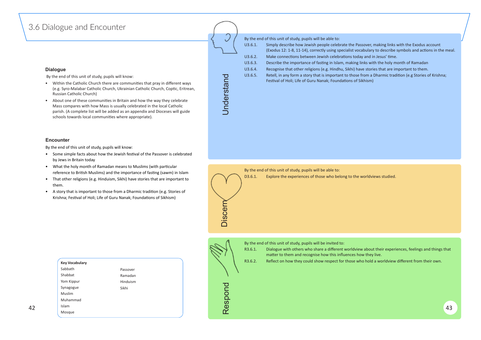## <span id="page-21-0"></span>3.6 Dialogue and Encounter

#### **Dialogue**

By the end of this unit of study, pupils will know:

- Within the Catholic Church there are communities that pray in different ways (e.g. Syro-Malabar Catholic Church, Ukrainian Catholic Church, Coptic, Eritrean, Russian Catholic Church)
- About one of these communities in Britain and how the way they celebrate Mass compares with how Mass is usually celebrated in the local Catholic parish. (A complete list will be added as an appendix and Dioceses will guide schools towards local communities where appropriate).
- U3.6.1. Simply describe how Jewish people celebrate the Passover, making links with the Exodus account (Exodus 12: 1-8, 11-14), correctly using specialist vocabulary to describe symbols and actions in the meal. U3.6.2. Make connections between Jewish celebrations today and in Jesus' time.
	-
	-
	-
- U3.6.5. Retell, in any form a story that is important to those from a Dharmic tradition (e.g Stories of Krishna; Festival of Holi; Life of Guru Nanak; Foundations of Sikhism)
- U3.6.3. Describe the importance of fasting in Islam, making links with the holy month of Ramadan
- U3.6.4. Recognise that other religions (e.g. Hindhu, Sikhi) have stories that are important to them.



By the end of this unit of study, pupils will be able to:

#### **Encounter**

By the end of this unit of study, pupils will know:

- Some simple facts about how the Jewish festival of the Passover is celebrated by Jews in Britain today
- What the holy month of Ramadan means to Muslims (with particular reference to British Muslims) and the importance of fasting (sawm) in Islam
- That other religions (e.g. Hinduism, Sikhi) have stories that are important to them.
- A story that is important to those from a Dharmic tradition (e.g. Stories of Krishna; Festival of Holi; Life of Guru Nanak; Foundations of Sikhism)

|  | U3         |
|--|------------|
|  | 113<br>. . |

By the end of this unit of study, pupils will be able to: D3.6.1. Explore the experiences of those who belong to the worldviews studied.

By the end of this unit of study, pupils will be invited to:

- R3.6.1. Dialogue with others who share a different worldview about their experiences, feelings and things that matter to them and recognise how this influences how they live.
- R3.6.2. Reflect on how they could show respect for those who hold a worldview different from their own.

|    | <b>Key Vocabulary</b> |          |                          | R3.6.2. | Reflect on how they could show respect for those who hold a worldview different from their own. |  |
|----|-----------------------|----------|--------------------------|---------|-------------------------------------------------------------------------------------------------|--|
|    | Sabbath               | Passover |                          |         |                                                                                                 |  |
|    | Shabbat               | Ramadan  |                          |         |                                                                                                 |  |
|    | Yom Kippur            | Hinduism |                          |         |                                                                                                 |  |
|    | Synagogue             | Sikhi    | $\overline{\phantom{a}}$ |         |                                                                                                 |  |
|    | Muslim                |          |                          |         |                                                                                                 |  |
|    | Muhammad              |          | ທ                        |         |                                                                                                 |  |
| 42 | Islam                 |          | Φ                        |         | 43                                                                                              |  |
|    | $\sim$ $\sim$         |          | $\sim$                   |         |                                                                                                 |  |

Mosque

Understand



Discern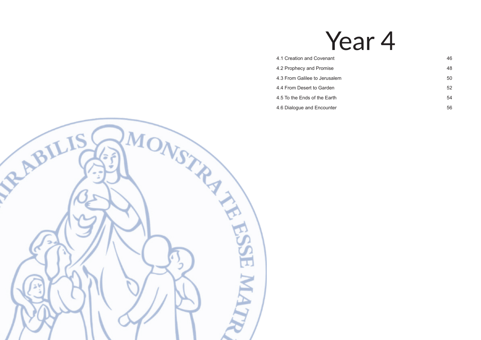# Year 4

- [4.1 Creation and Covenant](#page-23-0) 46
- [4.2 Prophecy and Promise](#page-24-0) 48
- [4.3 From Galilee to Jerusalem](#page-25-0) 60 and 50 and 50 and 50 and 50 and 50 and 50 and 50 and 50 and 50 and 50 and 50  $\pm$
- [4.4 From Desert to Garden](#page-26-0) 6 and 52
- [4.5 To the Ends of the Earth](#page-27-0) 54
- [4.6 Dialogue and Encounter](#page-28-0) 66 and the state of the state of the state of the state  $56$

<span id="page-22-0"></span>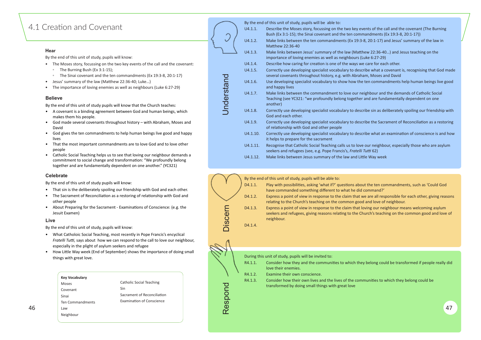## <span id="page-23-0"></span>4.1 Creation and Covenant

#### **Hear**

By the end of this unit of study, pupils will know:

- The Moses story, focussing on the two key events of the call and the covenant:
	- The Burning Bush (Ex 3:1-15);
	- The Sinai covenant and the ten commandments (Ex 19:3-8, 20:1-17)
- Jesus' summary of the law (Matthew 22:36-40; Luke...)
- The importance of loving enemies as well as neighbours (Luke 6:27-29)

#### **Believe**

By the end of this unit of study pupils will know that the Church teaches:

- A covenant is a binding agreement between God and human beings, which makes them his people.
- God made several covenants throughout history with Abraham, Moses and David
- God gives the ten commandments to help human beings live good and happy lives
- That the most important commandments are to love God and to love other people
- Catholic Social Teaching helps us to see that loving our neighbour demands a commitment to social change and transformation: "We profoundly belong together and are fundamentally dependent on one another." (YC321)

|          | By the end of this unit of study, pupils will be able to:                                                            |
|----------|----------------------------------------------------------------------------------------------------------------------|
| U4.1.1.  | Describe the Moses story, focussing on the two key ev<br>Bush (Ex 3:1-15); the Sinai covenant and the ten comr       |
| U4.1.2.  | Make links between the ten commandments (Ex 19:3-<br>Matthew 22:36-40                                                |
| U4.1.3.  | Make links between Jesus' summary of the law (Mattl<br>importance of loving enemies as well as neighbours (I         |
| U4.1.4.  | Describe how caring for creation is one of the ways w                                                                |
| U4.1.5.  | Correctly use developing specialist vocabulary to desc<br>several covenants throughout history, e.g. with Abrah      |
| U4.1.6.  | Use developing specialist vocabulary to show how the<br>and happy lives                                              |
| U4.1.7.  | Make links between the commandment to love our no<br>Teaching (see YC321: "we profoundly belong together<br>another) |
| U4.1.8.  | Correctly use developing specialist vocabulary to desc<br>God and each other.                                        |
| U4.1.9.  | Correctly use developing specialist vocabulary to desc<br>of relationship with God and other people                  |
| U4.1.10. | Correctly use developing specialist vocabulary to desc<br>it helps to prepare for the sacrament                      |
| U4.1.11. | Recognise that Catholic Social Teaching calls us to love<br>seekers and refugees (see, e.g. Pope Francis's, Fratelli |
| U4.1.12. | Make links between Jesus summary of the law and Lit                                                                  |

- R4.1.1. Consider how they and the communities to which they belong could be transformed if people really did love their enemies.
- R4.1.2. Examine their own conscience.
- R4.1.3. Consider how their own lives and the lives of the communities to which they belong could be transformed by doing small things with great love

- ents of the call and the covenant (The Burning mandments (Ex 19:3-8, 20:1-17)) -8, 20:1-17) and Jesus' summary of the law in
- hew 22:36-40...) and Jesus teaching on the Luke 6:27-29)
- e care for each other.
- ribe what a covenant is, recognising that God made am. Moses and David
- ten commandments help human beings live good
- eighbour and the demands of Catholic Social and are fundamentally dependent on one
- ribe sin as deliberately spoiling our friendship with
- ribe the Sacrament of Reconciliation as a restoring
- ribe what an examination of conscience is and how
- e our neighbour, especially those who are asylum *s* Tutti 62)
- ttle Way week
- 
- 
- 
- 



#### **Celebrate**

By the end of this unit of study pupils will know:

- That sin is the deliberately spoiling our friendship with God and each other.
- The Sacrament of Reconciliation as a restoring of relationship with God and other people
- About Preparing for the Sacrament Examinations of Conscience: (e.g. the Jesuit Examen)

#### **Live**

By the end of this unit of study, pupils will know:

- What Catholoic Social Teaching, most recently in Pope Francis's encyclical *Fratelli Tutti, says about how we can respond to the call to love our neighbour,* especially in the plight of asylum seekers and refugee
- How Little Way week (End of September) shows the importance of doing small things with great love.



During this unit of study, pupils will be invited to:

|    | <b>Key Vocabulary</b> |                                  |   | R4.1.2. | Examine their own conscience.                                                                                                                    |    |
|----|-----------------------|----------------------------------|---|---------|--------------------------------------------------------------------------------------------------------------------------------------------------|----|
|    | Moses                 | Catholic Social Teaching         |   | R4.1.3. | Consider how their own lives and the lives of the communities to which they belong could be<br>transformed by doing small things with great love |    |
|    | Covenant              | Sin                              |   |         |                                                                                                                                                  |    |
|    | Sinai                 | Sacrament of Reconciliation      |   |         |                                                                                                                                                  |    |
|    | Ten Commandments      | <b>Examination of Conscience</b> | ၯ |         |                                                                                                                                                  |    |
| 46 | Law                   |                                  |   |         |                                                                                                                                                  | 47 |
|    | Neighbour             |                                  |   |         |                                                                                                                                                  |    |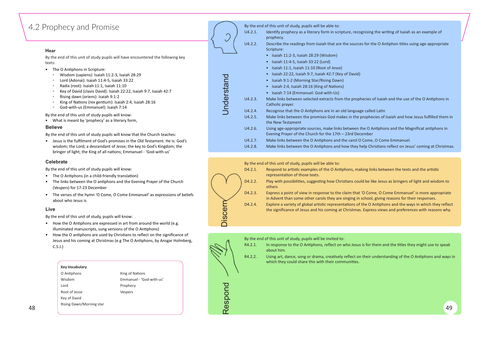## <span id="page-24-0"></span>4.2 Prophecy and Promise

#### **Hear**

By the end of this unit of study pupils will have encountered the following key texts:

- The O Antiphons in Scripture:
	- Wisdom (sapiens): Isaiah 11:2-3, Isaiah 28:29
	- Lord (Adonai): Isaiah 11:4-5, Isaiah 33:22
	- Radix (root): Isaiah 11:1, Isaiah 11:10
	- Key of David (clavis David): Isaiah 22:22, Isaiah 9:7, Isaiah 42:7
	- Rising dawn (oriens): Isaiah 9:1-2
	- King of Na�ons (rex gen�um): Isaiah 2:4, Isaiah 28:16
	- God-with-us (Emmanuel): Isaiah 7:14

• Jesus is the fulfilment of God's promises in the Old Testament. He is: God's wisdom; the Lord; a descendant of Jesse; the key to God's Kingdom; the bringer of light; the King of all nations; Emmanuel - 'God-with-us'

By the end of this unit of study pupils will know:

• What is meant by 'prophecy' as a literary form,

#### **Believe**

By the end of this unit of study pupils will know that the Church teaches:

- $\bullet$  The O Antiphons (in a child-friendly translation)
- The links between the O antiphons and the Evening Prayer of the Church (Vespers) for 17-23 December
- The verses of the hymn 'O Come, O Come Emmanuel' as expressions of beliefs about who Jesus is

- $\bullet$  How the O Antiphons are expressed in art from around the world (e.g. illuminated manuscripts, sung versions of the O Antiphons)
- How the O antiphons are used by Christians to reflect on the significance of Jesus and his coming at Christmas (e.g The O Antiphons, by Ansgar Holmberg, C.S.J.)

D4.2.4. Explore a variety of global artistic representations of the O Antiphons and the ways in which they reflect the significance of Jesus and his coming at Christmas. Express views and preferences with reasons why.

#### **Celebrate**

By the end of this unit of study pupils will know:

|            |         | By the end of this unit of study, pupils will be able to:                                                   |
|------------|---------|-------------------------------------------------------------------------------------------------------------|
|            | U4.2.1. | Identify prophecy as a literary form in scripture, reco<br>prophecy.                                        |
|            | U4.2.2. | Describe the readings from Isaiah that are the source<br>Scripture:                                         |
|            |         | Isaiah 11:2-3, Isaiah 28:29 (Wisdom)                                                                        |
|            |         | Isaiah 11:4-5, Isaiah 33:22 (Lord)<br>$\bullet$                                                             |
|            |         | Isaiah 11:1, Isaiah 11:10 (Root of Jesse)                                                                   |
|            |         | Isaiah 22:22, Isaiah 9:7, Isaiah 42:7 (Key of David)<br>$\bullet$                                           |
|            |         | Isaiah 9:1-2 (Morning Star/Rising Dawn)                                                                     |
|            |         | Isaiah 2:4, Isaiah 28:16 (King of Nations)                                                                  |
|            |         | Isaiah 7:14 (Emmanuel: God-with-Us)                                                                         |
| Understand | U4.2.3. | Make links between selected extracts from the propl<br>Catholic prayer.                                     |
|            | U4.2.4. | Recognise that the O Antiphons are in an old languag                                                        |
|            | U4.2.5. | Make links between the promises God makes in the<br>the New Testament                                       |
|            | U4.2.6. | Using age-appropriate sources, make links between t<br>Evening Prayer of the Church for the 17th - 23rd Dec |
|            | U4.2.7. | Make links between the O Antiphons and the carol C                                                          |
|            |         |                                                                                                             |

#### **Live**

By the end of this unit of study, pupils will know:





By the end of this unit of study, pupils will be invited to:

- R4.2.1. In response to the O Antiphons, reflect on who Jesus is for them and the titles they might use to speak about him.
- R4.2.2. Using art, dance, song or drama, creatively reflect on their understanding of the O Antiphons and ways in which they could share this with their communities.



in scripture, recognising the writing of Isaiah as an example of

that are the sources for the O Antiphon titles using age-appropriate

cts from the prophecies of Isaiah and the use of the O Antiphons in

e in an old language called Latin God makes in the prophecies of Isaiah and how Jesus fulfilled them in

ke links between the O Antiphons and the Magnificat antiphons in e 17th – 23rd December

ns and the carol O Come, O Come Emmanuel.

U4.2.8. Make links between the O Antiphons and how they help Christians reflect on Jesus' coming at Christmas.

|    |                          |                          |                         | WHICH they could share this with their communities. |
|----|--------------------------|--------------------------|-------------------------|-----------------------------------------------------|
|    | <b>Key Vocabulary</b>    |                          |                         |                                                     |
|    | O Antiphons              | King of Nations          |                         |                                                     |
|    | Wisdom                   | Emmanuel - 'God-with-us' |                         |                                                     |
|    | Lord                     | Prophecy                 | Õ                       |                                                     |
|    | Root of Jesse            | Vespers                  |                         |                                                     |
|    | Key of David             |                          |                         |                                                     |
|    | Rising Dawn/Morning star |                          | <b>S</b><br>$\mathbf 0$ |                                                     |
| 48 |                          |                          | $\sim$                  | 49                                                  |



Discern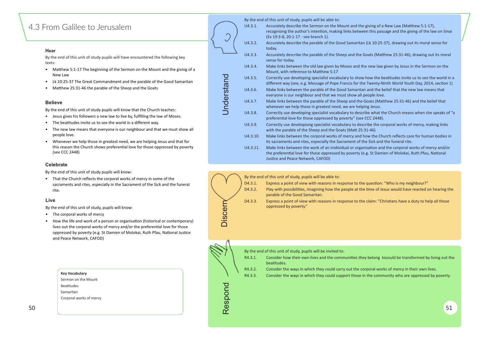## <span id="page-25-0"></span>4.3 From Galilee to Jerusalem

#### **Hear**

By the end of this unit of study pupils will have encountered the following key texts:

- Matthew 5:1-17 The beginning of the Sermon on the Mount and the giving of a New Law
- Lk 10:25-37 The Great Commandment and the parable of the Good Samaritan
- Matthew 25:31-46 the parable of the Sheep and the Goats

#### **Believe**

By the end of this unit of study pupils will know that the Church teaches:

- Jesus gives his followers a new law to live by, fulfilling the law of Moses.
- The beatitudes invite us to see the world in a different way.
- The new law means that everyone is our neighbour and that we must show all people love.
- Whenever we help those in greatest need, we are helping Jesus and that for this reason the Church shows preferential love for those oppressed by poverty (see CCC 2448)

- D4.3.1. Express a point of view with reasons in response to the question: "Who is my neighbour?"
- D4.3.2. Play with possibilities, imagining how the people at the time of Jesus would have reacted on hearing the parable of the Good Samaritan.
- D4.3.3. Express a point of view with reasons in response to the claim: "Christians have a duty to help all those oppressed by poverty."

|                   |          | By the end of this unit of study, pupils will be able to:                                                                          |
|-------------------|----------|------------------------------------------------------------------------------------------------------------------------------------|
|                   | U4.3.1.  | Accurately describe the Sermon on the Mou<br>recognising the author's intention, making li<br>(Ex 19:3-8, 20:1-17 - see branch 1). |
|                   | U4.3.2.  | Accurately describe the parable of the Good<br>today.                                                                              |
|                   | U4.3.3.  | Accurately describe the parable of the Sheep<br>sense for today.                                                                   |
|                   | U4.3.4.  | Make links between the old law given by Mo<br>Mount, with reference to Matthew 5:17                                                |
|                   | U4.3.5.  | Correctly use developing specialist vocabular<br>different way (see, e.g. Message of Pope Fra                                      |
|                   | U4.3.6.  | Make links between the parable of the Good<br>everyone is our neighbour and that we must                                           |
| <b>Jnderstand</b> | U4.3.7.  | Make links between the parable of the Shee<br>whenever we help those in greatest need, w                                           |
|                   | U4.3.8.  | Correctly use developing specialist vocabular<br>preferential love for those oppressed by pov                                      |
|                   | U4.3.9.  | Correctly use developiong specialist vocabul<br>with the parable of the Sheep and the Goats                                        |
|                   | U4.3.10. | Make links between the corporal works of m<br>its sacraments and rites, especially the Sacra                                       |
|                   | U4.3.11. | Make links between the work of an inidividu<br>البط امموموسوسم موم والاسمة مربوا المتلوموم ومقوس معالا                             |



#### **Celebrate**

By the end of this unit of study pupils will know:

• That the Church reflects the corporal works of mercy in some of the sacraments and rites, especially in the Sacrament of the Sick and the funeral rite.

#### **Live**

- The corporal works of mercy
- How the life and work of a person or organisation (historical or contemporary) lives out the corporal works of mercy and/or the preferential love for those oppressed by poverty (e.g. St Damien of Molokai, Ruth Pfau, National Justice and Peace Network, CAFOD)

By the end of this unit of study, pupils will be able to:

Justice and Peace Network, CAFOD)

|    | ᆸ៴<br>By the end of this unit of study, pupils will know:<br>The corporal works of mercy<br>How the life and work of a person or organisation (historical or contemporary)<br>lives out the corporal works of mercy and/or the preferential love for those<br>oppressed by poverty (e.g. St Damien of Molokai, Ruth Pfau, National Justice<br>and Peace Network, CAFOD) | Disce                                  | D4.3.3.<br>Express a point of view with reasons in response to the claim: "Christians have a duty to help all those"<br>oppressed by poverty."                                                                                                                                                                                                                                                                                 |    |
|----|-------------------------------------------------------------------------------------------------------------------------------------------------------------------------------------------------------------------------------------------------------------------------------------------------------------------------------------------------------------------------|----------------------------------------|--------------------------------------------------------------------------------------------------------------------------------------------------------------------------------------------------------------------------------------------------------------------------------------------------------------------------------------------------------------------------------------------------------------------------------|----|
|    | <b>Key Vocabulary</b><br>Sermon on the Mount<br>Beatitudes<br>Samaritan<br>Corporal works of mercy                                                                                                                                                                                                                                                                      | 2D<br>D<br>DO<br>$\boldsymbol{\omega}$ | By the end of this unit of study, pupils will be invited to:<br>Consider how their own lives and the communities they belong tocould be transformed by living out the<br>R4.3.1.<br>beatitudes.<br>Consider the ways in which they could carry out the corporal works of mercy in their own lives.<br>R4.3.2.<br>R4.3.3.<br>Consider the ways in which they could support those in the community who are oppressed by poverty. |    |
| 50 |                                                                                                                                                                                                                                                                                                                                                                         |                                        |                                                                                                                                                                                                                                                                                                                                                                                                                                | 51 |

nt and the giving of a New Law (Matthew 5:1-17). nks between this passage and the giving of the law on Sinai

Samaritan (Lk 10:25-37), drawing out its moral sense for

If and the Goats (Matthew 25:31-46), drawing out its moral

ses and the new law given by Jesus in the Sermon on the

ry to show how the beatitudes invite us to see the world in a ncis for the Twenty-Ninth World Youth Day, 2014, section 1) I Samaritan and the belief that the new law means that

show all people love.

p and the Goats (Matthew 25:31-46) and the belief that e are helping Jesus.

ry to describe what the Church means when she speaks of "a erty" (see CCC 2448).

ary to describe the corporal works of mercy, making links (Matt 25:31-46)

ercy and how the Church reflects care for human bodies in ment of the Sick and the funeral rite.

al or organisation and the corporal works of mercy and/or the preferential love for those oppressed by poverty (e.g. St Damien of Molokai, Ruth Pfau, National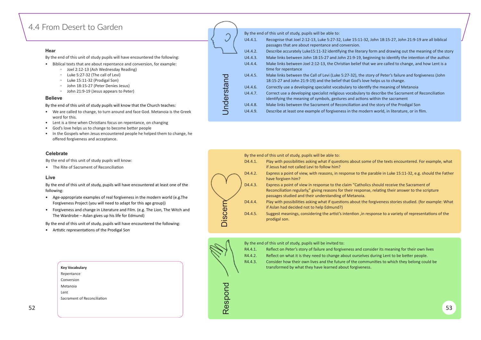## <span id="page-26-0"></span>4.4 From Desert to Garden

#### **Hear**

By the end of this unit of study pupils will have encountered the following:

- Biblical texts that are about repentance and conversion, for example:
	- Joel 2:12-13 (Ash Wednesday Reading)
	- Luke 5:27-32 (The call of Levi)
	- Luke 15:11-32 (Prodigal Son)
	- John 18:15-27 (Peter Denies Jesus)
	- John 21:9-19 (Jesus appears to Peter)

#### **Believe**

By the end of this unit of study pupils will know that the Church teaches:

- We are called to change, to turn around and face God. Metanoia is the Greek word for this.
- Lent is a time when Christians focus on repentance, on changing
- God's love helps us to change to become better people
- In the Gospels when Jesus encountered people he helped them to change, he offered forgiveness and acceptance.

#### **Celebrate**

By the end of this unit of study pupils will know:

• The Rite of Sacrament of Reconciliation

#### **Live**

By the end of this unit of study, pupils will have encountered at least one of the following:

- Age-appropriate examples of real forgiveness in the modern world (e.g.The Forgiveness Project (you will need to adapt for this age group))
- Forgiveness and change in Literature and Film. (e.g. The Lion, The Witch and The Wardrobe – Aslan gives up his life for Edmund)

|                   |         | By the end of this unit of study, pupils will be able to:                                                             |
|-------------------|---------|-----------------------------------------------------------------------------------------------------------------------|
|                   | U4.4.1. | Recognise that Joel 2:12-13, Luke 5:27-32, Luke 15:11-3<br>passages that are about repentance and conversion.         |
|                   | U4.4.2. | Describe accurately Luke15:11-32 identifying the literary                                                             |
|                   | U4.4.3. | Make links between John 18:15-27 and John 21:9-19, be                                                                 |
|                   | U4.4.4. | Make links between Joel 2:12-13, the Christian belief th<br>time for repentance                                       |
|                   | U4.4.5. | Make links between the Call of Levi (Luke 5:27-32), the s<br>18:15-27 and John 21:9-19) and the belief that God's loy |
|                   | U4.4.6. | Correctly use a developing specialist vocabulary to ident                                                             |
| <b>Jnderstand</b> | U4.4.7. | Correct use a developing specialist religious vocabulary<br>identifying the meaning of symbols, gestures and action   |
|                   | U4.4.8. | Make links between the Sacrament of Reconciliation and                                                                |
|                   | U4.4.9. | Describe at least one example of forgiveness in the mod                                                               |

By the end of this unit of study, pupils will have encountered the following:

• Artistic representations of the Prodigal Son

|    |                             | K4.4.3. | Consider how their own lives and the future of the communities to which they belong could be |    |
|----|-----------------------------|---------|----------------------------------------------------------------------------------------------|----|
|    | <b>Key Vocabulary</b>       |         | transformed by what they have learned about forgiveness.                                     |    |
|    | Repentance                  |         |                                                                                              |    |
|    | Conversion                  |         |                                                                                              |    |
|    | Metanoia                    | ◡       |                                                                                              |    |
|    | Lent                        |         |                                                                                              |    |
|    | Sacrament of Reconciliation |         |                                                                                              |    |
| 52 |                             | ၯ<br>Φ  |                                                                                              | 53 |
|    |                             | r       |                                                                                              |    |
|    |                             |         |                                                                                              |    |

|                |                    | By the end of this unit of study, pupils will be able to:                                                                                                                      |
|----------------|--------------------|--------------------------------------------------------------------------------------------------------------------------------------------------------------------------------|
|                | D4.4.1.            | Play with possibilities asking what if questions about so<br>if Jesus had not called Levi to follow him?                                                                       |
|                | D4.4.2.            | Express a point of view, with reasons, in response to the<br>have forgiven him?                                                                                                |
|                | D4.4.3.            | Express a point of view in response to the claim "Catho<br>Reconciliation regularly," giving reasons for their respor<br>passages studied and their understanding of Metanoia. |
|                | D4.4.4.            | Play with possibilities asking what if questions about th<br>if Aslan had decided not to help Edmund?)                                                                         |
| <b>Discerr</b> | D4.4.5.            | Suggest meanings, considering the artist's intention, in<br>prodigal son.                                                                                                      |
|                |                    |                                                                                                                                                                                |
|                |                    |                                                                                                                                                                                |
|                |                    | By the end of this unit of study, pupils will be invited to:                                                                                                                   |
|                | R4.4.1.<br>R4.4.2. | Reflect on Peter's story of failure and forgiveness and c<br>Reflect on what it is they need to change about ourselv                                                           |
|                | R4.4.3.            | Consider how their own lives and the future of the com<br>transformed by what they have learned about forgiven                                                                 |
| Respond        |                    |                                                                                                                                                                                |

|         | By the end of this unit of study, pupils will be invited to:                                                          |
|---------|-----------------------------------------------------------------------------------------------------------------------|
| R4.4.1. | Reflect on Peter's story of failure and forgiveness and cons                                                          |
| R4.4.2. | Reflect on what it is they need to change about ourselves of                                                          |
| R4.4.3. | Consider how their own lives and the future of the commun<br>transformed by what they have learned about forgiveness. |
|         |                                                                                                                       |

#### 12. John 18:15-27, John 21:9-19 are all biblical

y form and drawing out the meaning of the story eginning to identify the intention of the author. at we are called to change, and how Lent is a

- story of Peter's failure and forgiveness (John ve helps us to change.
- tify the meaning of Metanoia
- to describe the Sacrament of Reconciliation
- is within the sacrament
- d the story of the Prodigal Son
- lern world, in literature, or in film.

ome of the texts encountered. For example, what

- e parable in Luke 15:11-32, e.g. should the Father
- lics should receive the Sacrament of
- nse, relating their answer to the scripture
- e forgiveness stories studied. (for example: What

response to a variety of representations of the

A<sub>1</sub> detertion reflection peteriors in an and consider its meaning for their own lives selves during Lent to be better people. communities to which they belong could be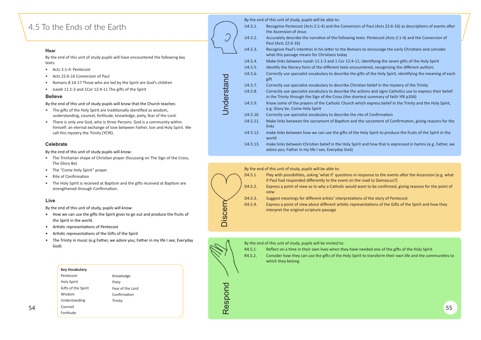## <span id="page-27-0"></span>4.5 To the Ends of the Earth

#### **Hear**

- Acts 2:1-4: Pentecost
- Acts 22:6-16 Conversion of Paul
- Romans 8:14-17 Those who are led by the Spirit are God's children
- Isaiah 11:1-3 and 1Cor 12:4-11 The gifts of the Spirit

By the end of this unit of study pupils will have encountered the following key texts:

#### **Believe**

By the end of this unit of study pupils will know that the Church teaches:

- The gifts of the Holy Spirit are traditionally identified as wisdom, understanding, counsel, fortitude, knowledge, piety, fear of the Lord.
- There is only one God, who is three Persons. God is a community within himself: an eternal exchange of love between Father, Son and Holy Spirit. We call this mystery the Trinity (YCfK).

By the end of this unit of study, pupils will be able to:

U4.5.13. make links between Christian belief in the Holy Spirit and how that is expressed in hymns (e.g. Father, we adore you; Father in my life I see, Everyday God)

|          | by the end of this unit of study, pupils will be able to.                                          |
|----------|----------------------------------------------------------------------------------------------------|
| U4.5.1.  | Recognise Pentecost (Acts 2:1-4) and the Con<br>the Ascension of Jesus                             |
| U4.5.2.  | Accurately describe the narrative of the follo<br>Paul (Acts 22:6-16)                              |
| U4.5.3.  | Recognise Paul's intention in his letter to the<br>what this passage means for Christians today    |
| U4.5.4.  | Make links between Isaiah 11:1-3 and 1 Cor 1                                                       |
| U4.5.5.  | Identify the literary form of the different text                                                   |
| U4.5.6.  | Correctly use specialist vocabulary to describ<br>gift                                             |
| U4.5.7.  | Correctly use specialist vocabulary to describ                                                     |
| U4.5.8.  | Correctly use specialist vocabulary to describ<br>in the Trinity through the Sign of the Cross (th |
| U4.5.9.  | Know some of the prayers of the Catholic Chu<br>e.g. Glory be, Come Holy Spirit                    |
| U4.5.10. | Correctly use specialist vocabulary to describ                                                     |
| U4.5.11. | Make links between the sacrament of Baptisr<br>links                                               |
| U4.5.12. | make links between how we can use the gifts<br>world                                               |
|          |                                                                                                    |

D4.5.1. Play with possibilities, asking 'what if' questions in response to the events after the Ascension (e.g. what if Paul had responded differently to the event on the road to Damascus?) D4.5.2. Express a point of view as to why a Catholic would want to be confirmed, giving reasons for the point of view

D4.5.3. Suggest meanings for different artists' interpretations of the story of Pentecost D4.5.4. Express a point of view about different artistic representations of the Gifts of the Spirit and how they

- R4.5.1. Reflect on a time in their own lives when they have needed one of the gifts of the Holy Spirit
- R4.5.2. Consider how they can use the gifts of the Holy Spirit to transform their own life and the communities to which they belong



Onversion of Paul (Acts 22:6-16) as descriptions of events after

llowing texts: Pentecost (Acts 2:1-4) and the Conversion of

ne Romans to encourage the early Christians and consider

If 12:4-11, identifying the seven gifts of the Holy Spirit exts encountered, recognising the different authors ribe the gifts of the Holy Spirit, identifying the meaning of each

ribe Christian belief in the mystery of the Trinity ribe the actions and signs Catholics use to express their belief (the shortest summary of faith YfK p104) Church which express belief in the Trinity and the Holy Spirit,

ribe the rite of Confirmation tism and the sacrament of Confirmation, giving reasons for the

ifts of the Holy Spirit to produce the fruits of the Spirit in the



Knowledge Piety Fear of the Lord Confirmation **Trinity** 

### **Celebrate**

#### By the end of this unit of study pupils will know:

- The Trinitarian shape of Christian prayer (focussing on The Sign of the Cross, The Glory Be)
- The "Come Holy Spirit" prayer.
- Rite of Confirmation
- The Holy Spirit is received at Baptism and the gifts received at Baptism are strengthened through Confirmation.

### **Live**

By the end of this unit of study, pupils will know:

- How we can use the gi�s the Spirit gives to go out and produce the fruits of the Spirit in the world.
- Artistic representations of Pentecost
- Artistic representations of the Gifts of the Spirit
- The Trinity in music (e.g Father, we adore you; Father in my life I see, Everyday God)

#### By the end of this unit of study, pupils will be able to:



interpret the original scripture passage

By the end of this unit of study, pupils will be invited to:

| <b>Key Vocabulary</b> |
|-----------------------|
|-----------------------|

 $\sim$  54  $\sim$   $\sim$   $\sim$  55 Pentecost Holy Spirit Gifts of the Spirit Wisdom Understanding Counsel Fortitude

Understand

 $\cup$ 

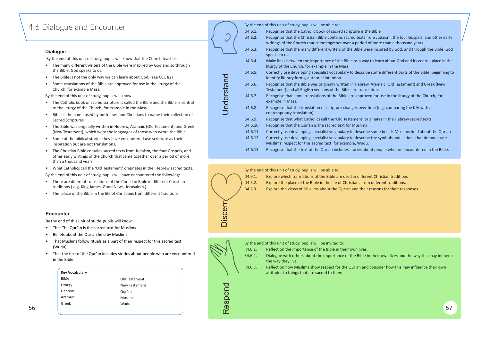## <span id="page-28-0"></span>4.6 Dialogue and Encounter

#### **Dialogue**

By the end of this unit of study, pupils will know that the Church teaches:

- The many different writers of the Bible were inspired by God and so through the Bible, God speaks to us.
- The Bible is not the only way we can learn about God. (see CCC 82)
- Some translations of the Bible are approved for use in the liturgy of the Church, for example Mass.

By the end of this unit of study, pupils will know:

- The Catholic book of sacred scripture is called the Bible and the Bible is central to the liturgy of the Church, for example in the Mass.
- Bible is the name used by both Jews and Christians to name their collection of Sacred Scriptures
- The Bible was originally wri�en in Hebrew, Aramaic (Old Testament) and Greek (New Testament), which were the languages of those who wrote the Bible.
- Some of the biblical stories they have encountered use scripture as their inspiration but are not translations.
- The Christian Bible contains sacred texts from Judaism, the four Gospels, and other early writings of the Church that came together over a period of more than a thousand years.
- What Catholics call the 'Old Testament' originates in the Hebrew sacred texts.

By the end of this unit of study, pupils will have encountered the following:

- There are different translations of the Christian Bible in different Christian traditions ( e.g. King James, Good News, Jerusalem.)
- The place of the Bible in the life of Christians from different traditions.

D4.6.2. Explore the place of the Bible in the life of Christians from different traditions. D4.6.3. Explore the views of Muslims about the Qur'an and their reasons for their responses.

- R4.6.1. Reflect on the importance of the Bible in their own lives.
- R4.6.2. Dialogue with others about the importance of the Bible in their own lives and the way this may influence the way they live.
- R4.6.3. Reflect on how Muslims show respect for the Qur'an and consider how this may influence their own attitudes to things that are sacred to them.

#### s the Bible

- ts from Judaism, the four Gospels, and other early iod of more than a thousand years
- Were inspired by God, and through the Bible, God
- way to learn about God and its central place in the
- ribe some different parts of the Bible, beginning to
- rew, Aramaic (Old Testament) and Greek (New anslations.
- roved for use in the liturgy of the Church, for
- $\gamma$ er time (e.g. comparing the KJV with a
- originates in the Hebrew sacred texts'
- cribe some beliefs Muslims hold about the Qur'an cribe the symbols and actions that demonstrate
- about people who are encountered in the Bible.
- 
- 
- 



|          | By the end of this unit of study, pupils will be able to:                                                                |
|----------|--------------------------------------------------------------------------------------------------------------------------|
| U4.6.1.  | Recognise that the Catholic book of sacred scripture is the                                                              |
| U4.6.2.  | Recognise that the Christian Bible contains sacred texts fr<br>writings of the Church that came together over a period o |
| U4.6.3.  | Recognise that the many different writers of the Bible we<br>speaks to us.                                               |
| U4.6.4.  | Make links between the importance of the Bible as a way<br>liturgy of the Church, for example in the Mass.               |
| U4.6.5.  | Correctly use developing specialist vocabulary to describe<br>identify literary forms, authorial intention.              |
| U4.6.6.  | Recognise that the Bible was originally written in Hebrew<br>Testament) and all English versions of the Bible are transl |
| U4.6.7.  | Recognise that some translations of the Bible are approve<br>example in Mass.                                            |
| U4.6.8.  | Recognise that the translation of scripture changes over t<br>contemporary translation).                                 |
| U4.6.9.  | Recognise that what Catholics call the 'Old Testament' or                                                                |
| U4.6.10. | Recognise that the Qur'an is the sacred text for Muslims                                                                 |
| U4.6.11. | Correctly use developing specialist vocabulary to describe                                                               |
| U4.6.12. | Correctly use developing specialist vocabulary to describe<br>Muslims' respect for this sacred text, for example, Wudu.  |
| U4.6.13. | Recognise that the text of the Qur'an includes stories abc                                                               |
|          |                                                                                                                          |

### **Encounter**

By the end of this unit of study, pupils will know:

- That The Qur'an is the sacred text for Muslims
- Beliefs about the Qur'an held by Muslims
- That Muslims follow rituals as a part of their respect for this sacred text (Wudu)
- That the text of the Qur'an includes stories about people who are encountered in the Bible.

#### By the end of this unit of study, pupils will be able to:

D4.6.1. Explore which translations of the Bible are used in different Christian traditions

By the end of this unit of study, pupils will be invited to:

|    | <b>Key Vocabulary</b> |               |                          | attitudes to things that are sacred to them. |    |
|----|-----------------------|---------------|--------------------------|----------------------------------------------|----|
|    | Bible                 | Old Testament |                          |                                              |    |
|    | Liturgy               | New Testament |                          |                                              |    |
|    | Hebrew                | Qur'an        |                          |                                              |    |
|    | Aramaic               | Muslims       |                          |                                              |    |
|    | Greek                 | Wudu          | ၯ                        |                                              |    |
| 56 |                       |               | $\mathbf \Phi$<br>$\sim$ |                                              | 57 |

Understand



Discern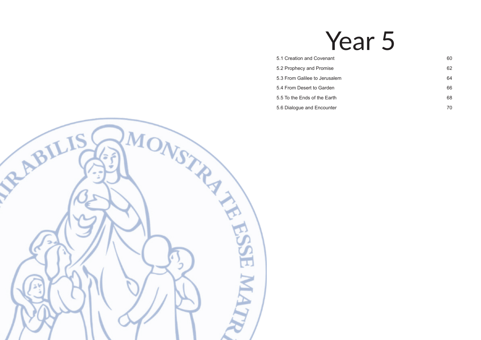# Year 5

- [5.1 Creation and Covenant](#page-30-0) 60 and  $\frac{1}{2}$  60
- [5.2 Prophecy and Promise](#page-31-0) 62
- [5.3 From Galilee to Jerusalem](#page-32-0) 64
- [5.4 From Desert to Garden](#page-33-0) 66
- [5.5 To the Ends of the Earth](#page-34-0) 68
- [5.6 Dialogue and Encounter](#page-35-0) 70

<span id="page-29-0"></span>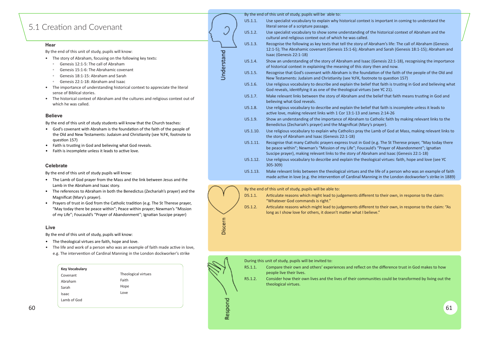## <span id="page-30-0"></span>5.1 Creation and Covenant

#### **Hear**

By the end of this unit of study, pupils will know:

- The story of Abraham, focusing on the following key texts:
	- Genesis 12:1-5: The call of Abraham
	- Genesis 15:1-6: The Abrahamic covenant
	- Genesis 18:1-15: Abraham and Sarah
	- Genesis 22:1-18: Abraham and Isaac
- The importance of understanding historical context to appreciate the literal sense of Biblical stories.
- The historical context of Abraham and the cultures and religious context out of which he was called.

#### **Believe**

By the end of this unit of study students will know that the Church teaches:

- God's covenant with Abraham is the foundation of the faith of the people of the Old and New Testaments: Judaism and Christianity (see YcFK, footnote to question 157)
- Faith is trusting in God and believing what God reveals.
- Faith is incomplete unless it leads to active love.

By the end of this unit of study, pupils will be able to:

Understand

Discern

- The Lamb of God prayer from the Mass and the link between Jesus and the Lamb in the Abraham and Isaac story.
- The references to Abraham in both the Benedictus (Zechariah's prayer) and the Magnificat (Mary's prayer).
- Prayers of trust in God from the Catholic tradition (e.g. The St Therese prayer, "May today there be peace within"; Peace within prayer; Newman's "Mission of my Life"; Foucauld's "Prayer of Abandonment"; Ignatian Suscipe prayer)

- The theological virtues are faith, hope and love.
- The life and work of a person who was an example of faith made active in love, e.g. The intervention of Cardinal Manning in the London dockworker's strike

|          | by the end of this unit of study, pupils will be able to.                                                                                                                        |
|----------|----------------------------------------------------------------------------------------------------------------------------------------------------------------------------------|
| U5.1.1.  | Use specialist vocabulary to explain why historical contex<br>literal sense of a scripture passage.                                                                              |
| U5.1.2.  | Use specialist vocabulary to show some understanding of<br>cultural and religious context out of which he was called.                                                            |
| U5.1.3.  | Recognise the following as key texts that tell the story of<br>12:1-5); The Abrahamic covenant (Genesis 15:1-6); Abrah<br>Isaac (Genesis 22:1-18)                                |
| U5.1.4.  | Show an understanding of the story of Abraham and Isaa<br>of historical context in explaining the meaning of this sto                                                            |
| U5.1.5.  | Recognise that God's covenant with Abraham is the foun<br>New Testaments: Judaism and Christianity (see YcFK, foot                                                               |
| U5.1.6.  | Use religious vocabulary to describe and explain the belio<br>God reveals, identifying it as one of the theological virtue                                                       |
| U5.1.7.  | Make relevant links between the story of Abraham and t<br>believing what God reveals.                                                                                            |
| U5.1.8.  | Use religious vocabulary to describe and explain the belio<br>active love, making relevant links with 1 Cor 13:1-13 and                                                          |
| U5.1.9.  | Show an understanding of the importance of Abraham to<br>Benedictus (Zechariah's prayer) and the Magnificat (Mar                                                                 |
| U5.1.10. | Use religious vocabulary to explain why Catholics pray th<br>the story of Abraham and Isaac (Genesis 22:1-18)                                                                    |
| U5.1.11. | Recognise that many Catholic prayers express trust in Go<br>be peace within"; Newman's "Mission of my Life"; Fouca<br>Suscipe prayer), making relevant links to the story of Abr |
| U5.1.12. | Use religious vocabulary to describe and explain the thed<br>305-309)                                                                                                            |
| U5.1.13. | Make relevant links between the theological virtues and<br>made active in love (e.g. the intervention of Cardinal Ma                                                             |
|          |                                                                                                                                                                                  |

#### **Celebrate**

By the end of this unit of study pupils will know:

#### **Live**

By the end of this unit of study, pupils will know:





xt is important in coming to understand the

- of the historical context of Abraham and the
- **Abraham's life: The call of Abraham (Genesis** that ham and Sarah (Genesis 18:1-15); Abraham and
- ac (Genesis 22:1-18), recognising the importance ory then and now.
- ndation of the faith of the people of the Old and otnote to question 157)
- ief that faith is trusting in God and believing what es (see YC 21).
- the belief that faith means trusting in God and
- ief that faith is incomplete unless it leads to d James 2:14-26
- to Catholic faith by making relevant links to the ry's prayer).
- ne Lamb of God at Mass, making relevant links to
- od (e.g. The St Therese prayer, "May today there auld's "Prayer of Abandonment"; Ignatian raham and Isaac (Genesis 22:1-18)
- ological virtues: faith, hope and love (see YC

I the life of a person who was an example of faith mning in the London dockworker's strike in 1889)

| <b>Key Vocabulary</b> |                     |
|-----------------------|---------------------|
| Covenant              | Theological virtues |
| Abraham               | Faith               |
| Sarah                 | Hope                |
| Isaac                 | Love                |
| Lamb of God           |                     |
|                       |                     |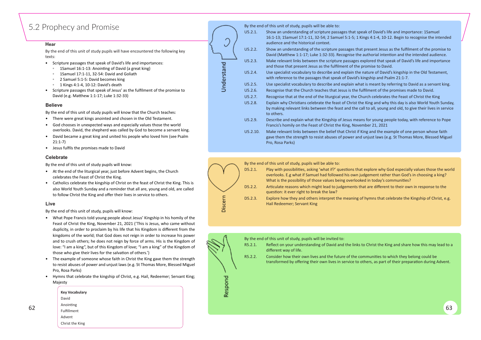## <span id="page-31-0"></span>5.2 Prophecy and Promise

#### **Hear**

- Scripture passages that speak of David's life and importances:
	- 1Samuel 16:1-13: Anoin�ng of David (a great king)
	- 1Samuel 17:1-11, 32-54: David and Goliath
	- 2 Samuel 5:1-5: David becomes king
	- 1 Kings 4:1-4, 10-12: David's death
- Scripture passages that speak of Jesus' as the fulfilment of the promise to David (e.g. Matthew 1:1-17; Luke 1:32-33)

By the end of this unit of study pupils will have encountered the following key texts:

#### **Believe**

By the end of this unit of study pupils will know that the Church teaches:

- There were great kings anointed and chosen in the Old Testament.
- God chooses in unexpected ways and especially values those the world overlooks. David, the shepherd was called by God to become a servant king.
- David became a great king and united his people who loved him (see Psalm 21:1-7)
- Jesus fulfils the promises made to David

By the end of this unit of study, pupils will be able to:

- U5.2.1. Show an understanding of scripture passages that speak of David's life and importance: 1Samuel 16:1-13; 1Samuel 17:1-11, 32-54; 2 Samuel 5:1-5; 1 Kings 4:1-4, 10-12. Begin to recognise the intended audience and the historical context.
- U5.2.2. Show an understanding of the scripture passages that present Jesus as the fulfilment of the promise to David (Matthew 1:1-17; Luke 1:32-33). Recognise the authorial intention and the intended audience. U5.2.3. Make relevant links between the scripture passages explored that speak of David's life and importance and those that present Jesus as the fulfilment of the promise to David.
	-
- U5.2.4. Use specialist vocabulary to describe and explain the nature of David's kingship in the Old Testament, with reference to the passages that speak of David's kingship and Psalm 21:1-7.
- U5.2.5. Use specialist vocabulary to describe and explain what is meant by referring to David as a servant king. U5.2.6. Recognise that the Church teaches that Jesus is the fulfilment of the promises made to David.
	-
- U5.2.7. Recognise that at the end of the liturgical year, the Church celebrates the Feast of Christ the King
- U5.2.8. Explain why Christians celebrate the feast of Christ the King and why this day is also World Youth Sunday, by making relevant links between the feast and the call to all, young and old, to give their lives in service to others.
- U5.2.9. Describe and explain what the Kingship of Jesus means for young people today, with reference to Pope Francis's homily on the Feast of Christ the King, November 21, 2021
- U5.2.10. Make relevant links between the belief that Christ if King and the example of one person whose faith gave them the strength to resist abuses of power and unjust laws (e.g. St Thomas More, Blessed Miguel Pro, Rosa Parks)



- D5.2.1. Play with possibilities, asking 'what if?' questions that explore why God especially values those the world overlooks. E.g what if Samuel had followed his own judgement rather than God's in choosing a king? What is the possibility of those values being overlooked in today's communities?
- D5.2.2. Articulate reasons which might lead to judgements that are different to their own in response to the question: it ever right to break the law?
- D5.2.3. Explore how they and others interpret the meaning of hymns that celebrate the Kingship of Christ, e.g. Hail Redeemer; Servant King



- R5.2.1. Reflect on your understanding of David and the links to Christ the King and share how this may lead to a different way of life.
- R5.2.2. Consider how their own lives and the future of the communities to which they belong could be transformed by offering their own lives in service to others, as part of their preparation during Advent.

|    | <b>Key Vocabulary</b> | <b>un</b> |  |  |    |  |
|----|-----------------------|-----------|--|--|----|--|
|    | David                 | ᅩ         |  |  |    |  |
| 62 | Anointing             |           |  |  | 63 |  |
|    | Fulfillment           |           |  |  |    |  |
|    | Advent                |           |  |  |    |  |
|    | Christ the King       |           |  |  |    |  |

U Understand

#### **Celebrate**

By the end of this unit of study pupils will know:

- At the end of the liturgical year, just before Advent begins, the Church celebrates the Feast of Christ the King.
- Catholics celebrate the kingship of Christ on the feast of Christ the King. This is also World Youth Sunday and a reminder that all are, young and old, are called to follow Christ the King and offer their lives in service to others.

### **Live**

By the end of this unit of study, pupils will know:

- What Pope Francis told young people about Jesus' Kingship in his homily of the Feast of Christ the King, November 21, 2021 ('This is Jesus, who came without duplicity, in order to proclaim by his life that his Kingdom is different from the kingdoms of the world; that God does not reign in order to increase his power and to crush others; he does not reign by force of arms. His is the Kingdom of love: "I am a king", but of this Kingdom of love; "I am a king" of the Kingdom of those who give their lives for the salvation of others.')
- The example of someone whose faith in Christ the King gave them the strength to resist abuses of power and unjust laws (e.g. St Thomas More, Blessed Miguel Pro, Rosa Parks)
- Hymns that celebrate the kingship of Christ, e.g. Hail, Redeemer; Servant King; Majesty

By the end of this unit of study, pupils will be able to:

By the end of this unit of study, pupils will be invited to: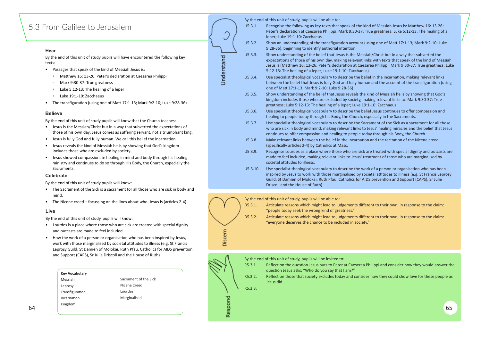## <span id="page-32-0"></span>5.3 From Galilee to Jerusalem

#### **Hear**

- Passages that speak of the kind of Messiah Jesus is:
	- Matthew 16: 13-26: Peter's declaration at Caesarea Philippi
	- Mark 9:30-37: True greatness
	- Luke 5:12-13: The healing of a leper
	- Luke 19:1-10: Zacchaeus
- The transfiguration (using one of Matt 17:1-13; Mark 9:2-10; Luke 9:28-36)

By the end of this unit of study pupils will have encountered the following key texts:

#### **Believe**

By the end of this unit of study pupils will know that the Church teaches:

- Jesus is the Messiah/Christ but in a way that subverted the expectations of those of his own day: Jesus comes as suffering servant, not a triumphant king.
- Jesus is fully God and fully human. We call this belief the incarnation.
- Jesus reveals the kind of Messiah he is by showing that God's kingdom includes those who are excluded by society.
- Jesus showed compassionate healing in mind and body through his healing ministry and continues to do so through His Body, the Church, especially the Sacraments.

|            |         | By the end of this unit of study, pupils will be able to: |
|------------|---------|-----------------------------------------------------------|
|            | U5.3.1. | Recognise the following as key texts that                 |
|            |         | Peter's declaration at Caesarea Philippi; N               |
|            |         | leper; Luke 19:1-10: Zacchaeus                            |
|            | U5.3.2. | Show an understanding of the transfigura                  |
|            |         | 9:28-36), beginning to identify authorial i               |
|            | U5.3.3. | Show understanding of the belief that Jes                 |
|            |         | expectations of those of his own day, mal                 |
|            |         | Jesus is (Matthew 16: 13-26: Peter's decla                |
|            |         | 5:12-13: The healing of a leper; Luke 19:1                |
| Understand | U5.3.4. | Use specialist theological vocabulary to d                |
|            |         | between the belief that Jesus is fully God                |
|            |         | one of Matt 17:1-13; Mark 9:2-10; Luke 9                  |

- - U5.3.4. Use specialist theological vocabulary to describe the belief in the incarnation, making relevant links between the belief that Jesus is fully God and fully human and the account of the transfiguration (using one of Matt 17:1-13; Mark 9:2-10; Luke 9:28-36)

9:28-36), beginning to identify authorial intention.

U5.3.3. Show understanding of the belief that Jesus is the Messiah/Christ but in a way that subverted the expectations of those of his own day, making relevant links with texts that speak of the kind of Messiah Jesus is (Matthew 16: 13-26: Peter's declaration at Caesarea Philippi; Mark 9:30-37: True greatness; Luke 5:12-13: The healing of a leper; Luke 19:1-10: Zacchaeus)

U5.3.8. Make relevant links between the belief in the Incarnation and the recitation of the Nicene creed



- The Sacrament of the Sick is a sacrament for all those who are sick in body and mind.
- The Nicene creed focussing on the lines about who Jesus is (articles 2-4)
- D5.3.1. Articulate reasons which might lead to judgements different to their own, in response to the claim: "people today seek the wrong kind of greatness." D5.3.2. Articulate reasons which might lead to judgements different to their own, in response to the claim:
	- "everyone deserves the chance to be included in society."



R5.3.1. Reflect on the question Jesus puts to Peter at Caeserea Philippi and consider how they would answer the question Jesus asks: "Who do you say that I am?" R5.3.2. Reflect on those that society excludes today and consider how they could show love for these people as Jesus did.

- U5.3.5. Show understanding of the belief that Jesus reveals the kind of Messiah he is by showing that God's kingdom includes those who are excluded by society, making relevant links to: Mark 9:30-37: True greatness; Luke 5:12-13: The healing of a leper; Luke 19:1-10: Zacchaeus U5.3.6. Use specialist theological vocabulary to describe the belief Jesus continues to offer compassion and
	- healing to people today through his Body, the Church, especially in the Sacraments.
- U5.3.7. Use specialist theological vocabulary to describe the Sacrament of the Sick as a sacrament for all those who are sick in body and mind, making relevant links to Jesus' healing miracles and the belief that Jesus continues to offer compassion and healing to people today through his Body, the Church.
	- (specifically articles 2-4) by Catholics at Mass.
- U5.3.9. Recognise Lourdes as a place where those who are sick are treated with special dignity and outcasts are made to feel included, making relevant links to Jesus' treatment of those who are marginalised by societal attitudes to illness.
- U5.3.10. Use specialist theological vocabulary to describe the work of a person or organisation who has been inspired by Jesus to work with those marginalised by societal attitudes to illness (e.g. St Francis Leprosy Guild, St Damien of Molokai, Ruth Pfau, Catholics for AIDS prevention and Support (CAPS), Sr Julie Driscoll and the House of Ruth)



#### **Celebrate**

By the end of this unit of study pupils will know:

#### **Live**

By the end of this unit of study, pupils will know:

- Lourdes is a place where those who are sick are treated with special dignity and outcasts are made to feel included.
- How the work of a person or organisation who has been inspired by Jesus, work with those marginalised by societal attitudes to illness (e.g. St Francis Leprosy Guild, St Damien of Molokai, Ruth Pfau, Catholics for AIDS preven�on and Support (CAPS), Sr Julie Driscoll and the House of Ruth)

By the end of this unit of study, pupils will be able to:

By the end of this unit of study, pupils will be invited to:

U5.3.1. Recognise the following as key texts that speak of the kind of Messiah Jesus is: Matthew 16: 13-26: Peter's declaration at Caesarea Philippi; Mark 9:30-37: True greatness; Luke 5:12-13: The healing of a

U5.3.2. Show an understanding of the transfiguration account (using one of Matt 17:1-13; Mark 9:2-10; Luke

|    | <b>Key Vocabulary</b> |                       |  |         | guestion Jesus asks: "Who do you say that I am?"                                                                     |
|----|-----------------------|-----------------------|--|---------|----------------------------------------------------------------------------------------------------------------------|
|    | Messiah               | Sacrament of the Sick |  | R5.3.2. | Reflect on those that society excludes today and consider how they could show love for these people as<br>Jesus did. |
|    | Leprosy               | Nicene Creed          |  | R5.3.3. |                                                                                                                      |
|    | Transfiguration       | Lourdes               |  |         |                                                                                                                      |
|    | Incarnation           | Marginalised          |  |         |                                                                                                                      |
| 64 | Kingdom               |                       |  |         | 65                                                                                                                   |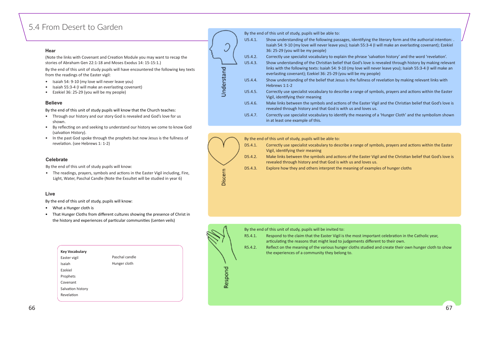## <span id="page-33-0"></span>5.4 From Desert to Garden

#### **Hear**

(Note the links with Covenant and Creation Module you may want to recap the stories of Abraham Gen 22:1-18 and Moses Exodus 14: 15-15:1.)

By the end of this unit of study pupils will have encountered the following key texts from the readings of the Easter vigil:

- Through our history and our story God is revealed and God's love for us shown.
- By reflecting on and seeking to understand our history we come to know God (salvation History).
- In the past God spoke through the prophets but now Jesus is the fullness of revelation. (see Hebrews 1: 1-2)
- Isaiah 54: 9-10 (my love will never leave you)
- Isaiah 55:3-4 (I will make an everlasting covenant)
- Ezekiel 36: 25-29 (you will be my people)

#### **Believe**

By the end of this unit of study pupils will know that the Church teaches:

By the end of this unit of study, pupils will be able to:

- U5.4.1. Show understanding of the following passages, identifying the literary form and the authorial intention: . Isaiah 54: 9-10 (my love will never leave you); Isaiah 55:3-4 (I will make an everlasting covenant); Ezekiel 36: 25-29 (you will be my people)
- U5.4.2. Correctly use specialist vocabulary to explain the phrase 'salvation history' and the word 'revelation'.
- U5.4.3. Show understanding of the Christian belief that God's love is revealed through history by making relevant links with the following texts: Isaiah 54: 9-10 (my love will never leave you); Isaiah 55:3-4 (I will make an everlasting covenant); Ezekiel 36: 25-29 (you will be my people)
- U5.4.4. Show understanding of the belief that Jesus is the fullness of revelation by making relevant links with Hebrews 1:1-2
- U5.4.5. Correctly use specialist vocabulary to describe a range of symbols, prayers and actions within the Easter Vigil, iden�fying their meaning
- U5.4.6. Make links between the symbols and actions of the Easter Vigil and the Christian belief that God's love is revealed through history and that God is with us and loves us.
- U5.4.7. Correctly use specialist vocabulary to iden�fy the meaning of a 'Hunger Cloth' and the symbolism shown in at least one example of this.

• The readings, prayers, symbols and actions in the Easter Vigil including, Fire, Light, Water, Paschal Candle (Note the Exsultet will be studied in year 6)

- What a Hunger cloth is
- That Hunger Cloths from different cultures showing the presence of Christ in the history and experiences of particular communities (Lenten veils)

R5.4.1. Respond to the claim that the Easter Vigil is the most important celebration in the Catholic year, articulating the reasons that might lead to judgements different to their own. R5.4.2. Reflect on the meaning of the various hunger cloths studied and create their own hunger cloth to show the experiences of a community they belong to.

#### **Celebrate**

By the end of this unit of study pupils will know:

#### **Live**

By the end of this unit of study, pupils will know:





By the end of this unit of study, pupils will be invited to:

| <b>Key Vocabulary</b> |                |  |
|-----------------------|----------------|--|
| Easter vigil          | Paschal candle |  |
| Isaiah                | Hunger cloth   |  |
| Ezekiel               |                |  |
| Prophets              |                |  |
| Covenant              |                |  |
| Salvation history     |                |  |
| Revelation            |                |  |

 $\checkmark$ Understand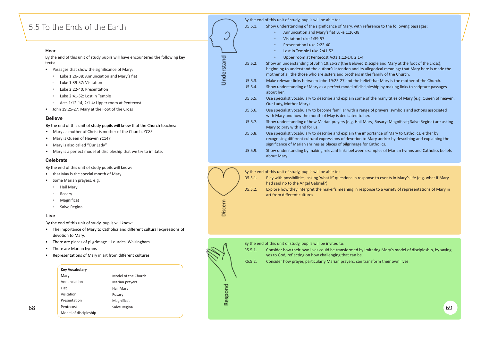## <span id="page-34-0"></span>5.5 To the Ends of the Earth

#### **Hear**

By the end of this unit of study pupils will have encountered the following key texts:

- Passages that show the significance of Mary:
	- Luke 1:26-38: Annuncia�on and Mary's fiat
	- Luke 1:39-57: Visitation
	- Luke 2:22-40: Presenta�on
	- Luke 2:41-52: Lost in Temple
	- Acts 1:12-14, 2:1-4: Upper room at Pentecost
- John 19:25-27: Mary at the Foot of the Cross

#### **Believe**

By the end of this unit of study pupils will know that the Church teaches:

- Mary as mother of Christ is mother of the Church. YC85
- Mary is Queen of Heaven YC147
- Mary is also called "Our Lady"
- Mary is a perfect model of discipleship that we try to imitate.

By the end of this unit of study, pupils will be able to:



Discern

Ĵ

Understand

U5.5.1. Show understanding of the significance of Mary, with reference to the following passages:

- Disciple and Mary at the foot of the cross), llegorical meaning: that Mary here is made the the family of the Church.
- ief that Mary is the mother of the Church.
- pleship by making links to scripture passages
- of the many titles of Mary (e.g. Queen of heaven,
- ge of prayers, symbols and actions associated
- ary; Rosary; Magnificat; Salve Regina) are asking
- portance of Mary to Catholics, either by Mary and/or by describing and explaining the r Catholics.
- Examples of Marian hymns and Catholics beliefs



- The importance of Mary to Catholics and different cultural expressions of devotion to Mary.
- There are places of pilgrimage Lourdes, Walsingham
- There are Marian hymns
- Representations of Mary in art from different cultures
- D5.5.1. Play with possibilities, asking 'what if' questions in response to events in Mary's life (e.g. what if Mary had said no to the Angel Gabriel?)
- D5.5.2. Explore how they interpret the maker's meaning in response to a variety of representations of Mary in art from different cultures

|         | Annunciation and Mary's fiat Luke 1:26-38<br>$\circ$                                                                                                                                      |
|---------|-------------------------------------------------------------------------------------------------------------------------------------------------------------------------------------------|
|         | Visitation Luke 1:39-57<br>$\circ$                                                                                                                                                        |
|         | Presentation Luke 2:22-40<br>$\circ$                                                                                                                                                      |
|         | Lost in Temple Luke 2:41-52<br>$\circ$                                                                                                                                                    |
|         | Upper room at Pentecost Acts 1:12-14, 2:1-4<br>$\circ$                                                                                                                                    |
| U5.5.2. | Show an understanding of John 19:25-27 (the Beloved Dis<br>beginning to understand the author's intention and its alle<br>mother of all the those who are sisters and brothers in the     |
| U5.5.3. | Make relevant links between John 19:25-27 and the belief                                                                                                                                  |
| U5.5.4. | Show understanding of Mary as a perfect model of discipl<br>about her.                                                                                                                    |
| U5.5.5. | Use specialist vocabulary to describe and explain some of<br>Our Lady, Mother Mary)                                                                                                       |
| U5.5.6. | Use specialist vocabulary to become familiar with a range<br>with Mary and how the month of May is dedicated to her.                                                                      |
| U5.5.7. | Show understanding of how Marian prayers (e.g. Hail Mar<br>Mary to pray with and for us.                                                                                                  |
| U5.5.8. | Use specialist vocabulary to describe and explain the impo<br>recognising different cultural expressions of devotion to M<br>significance of Marian shrines as places of pilgrimage for ( |
| U5.5.9. | Show understanding by making relevant links between exa<br>about Mary                                                                                                                     |

#### **Celebrate**

By the end of this unit of study pupils will know:

- that May is the special month of Mary
- Some Marian prayers, e.g:
	- Hail Mary
	- Rosary
	- Magnificat
	- Salve Regina

### **Live**

By the end of this unit of study, pupils will know:

By the end of this unit of study, pupils will be able to:



### **Key Vocabulary**

|    | Mary                  | Model of the Church |           |    |
|----|-----------------------|---------------------|-----------|----|
|    | Annunciation          | Marian prayers      |           |    |
|    | Fiat                  | Hail Mary           | т.        |    |
|    | Visitation            | Rosary              | ▃         |    |
|    | Presentation          | Magnificat          | S<br>o    |    |
| 68 | Pentecost             | Salve Regina        | $\propto$ | 69 |
|    | Model of discipleship |                     |           |    |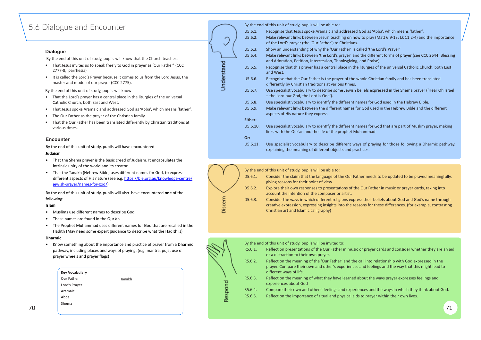## <span id="page-35-0"></span>5.6 Dialogue and Encounter

#### **Dialogue**

By the end of this unit of study, pupils will know that the Church teaches:

- That the Lord's prayer has a central place in the liturgies of the universal Catholic Church, both East and West.
- That Jesus spoke Aramaic and addressed God as 'Abba', which means 'father'.
- The Our Father as the prayer of the Christian family.
- That the Our Father has been translated differently by Christian traditions at various times.
- That Jesus invites us to speak freely to God in prayer as 'Our Father' (CCC 2777-8, parrhesia)
- It is called the Lord's Prayer because it comes to us from the Lord Jesus, the master and model of our prayer (CCC 2775).

By the end of this unit of study, pupils will know:

|          | By the end of this unit of study, pupils will be able to:                                                                        |
|----------|----------------------------------------------------------------------------------------------------------------------------------|
| U5.6.1.  | Recognise that Jesus spoke Aramaic and addressed God as 'Al                                                                      |
| U5.6.2.  | Make relevant links between Jesus' teaching on how to pray (<br>of the Lord's prayer (the 'Our Father') to Christians.           |
| U5.6.3.  | Show an understanding of why the 'Our Father' is called 'the                                                                     |
| U5.6.4.  | Make relevant links between 'the Lord's prayer' and the differ<br>and Adoration, Petition, Intercession, Thanksgiving, and Prais |
| U5.6.5.  | Recognise that this prayer has a central place in the liturgies of<br>and West.                                                  |
| U5.6.6.  | Recognise that the Our Father is the prayer of the whole Chris<br>differently by Christian traditions at various times.          |
| U5.6.7.  | Use specialist vocabulary to describe some Jewish beliefs exp<br>- the Lord our God, the Lord is One').                          |
| U5.6.8.  | Use specialist vocabulary to identify the different names for G                                                                  |
| U5.6.9.  | Make relevant links between the different names for God use<br>aspects of His nature they express.                               |
| Either:  |                                                                                                                                  |
| U5.6.10. | Use specialist vocabulary to identify the different names for G<br>links with the Qur'an and the life of the prophet Muhammad.   |
| Or:      |                                                                                                                                  |
| U5.6.11. | Use specialist vocabulary to describe different ways of prayi<br>explaining the meaning of different objects and practices.      |
|          |                                                                                                                                  |

Understand

#### **Encounter**

|    | <b>Key Vocabulary</b> |         | different ways of life.                                                                            |  |
|----|-----------------------|---------|----------------------------------------------------------------------------------------------------|--|
|    | Our Father<br>Tanakh  | R5.6.3. | Reflect on the meaning of what they have learned about the ways prayer expresses feelings and      |  |
|    | Lord's Prayer         |         | experiences about God                                                                              |  |
|    | Aramaic               | R5.6.4. | Compare their own and others' feelings and experiences and the ways in which they think about God. |  |
|    | Abba                  | R5.6.5. | Reflect on the importance of ritual and physical aids to prayer within their own lives.            |  |
|    | Shema                 |         |                                                                                                    |  |
| 70 |                       |         | 71                                                                                                 |  |
|    |                       |         |                                                                                                    |  |

By the end of this unit of study, pupils will have encountered: **Judaism**

- That the Shema prayer is the basic creed of Judaism. It encapsulates the intrinsic unity of the world and its creator.
- That the Tanakh (Hebrew Bible) uses different names for God, to express different aspects of His nature (see e.g. https://bje.org.au/knowledge-centre/ [jewish-prayer/names-for-god/](https://%E2%80%A2%20.%20https://bje.org.au/knowledge-centre/jewish-prayer/names-for-god/))

By the end of this unit of study, pupils will also have encountered **one** of the following:

#### **Islam**

- Muslims use different names to describe God
- These names are found in the Qur'an
- The Prophet Muhammad uses different names for God that are recalled in the Hadith (May need some expert guidance to describe what the Hadith is)

#### **Dharmic**

• Know something about the importance and prac�ce of prayer from a Dharmic pathway, including places and ways of praying, (e.g. mantra, puja, use of prayer wheels and prayer flags)



|       | By the end of this unit of study, pupils will be invited to: |                                                                                                                                          |  |  |  |  |
|-------|--------------------------------------------------------------|------------------------------------------------------------------------------------------------------------------------------------------|--|--|--|--|
|       | R5.6.1.                                                      | Reflect on presentations of the Our Father in music or<br>or a distraction to their own prayer.                                          |  |  |  |  |
|       | R5.6.2.                                                      | Reflect on the meaning of the 'Our Father' and the ca<br>prayer. Compare their own and other's experiences ar<br>different ways of life. |  |  |  |  |
|       | R5.6.3.                                                      | Reflect on the meaning of what they have learned abo<br>experiences about God                                                            |  |  |  |  |
| espon | R5.6.4.                                                      | Compare their own and others' feelings and experien                                                                                      |  |  |  |  |
|       | R5.6.5.                                                      | Reflect on the importance of ritual and physical aids t                                                                                  |  |  |  |  |

d as 'Abba', which means 'father'. o pray (Matt 6:9-13; Lk 11:2-4) and the importance

- d 'the Lord's Prayer'
- e different forms of prayer (see CCC 2644: Blessing d Praise)
- urgies of the universal Catholic Church, both East

Ie Christian family and has been translated

- efs expressed in the Shema prayer ('Hear Oh Israel
- es for God used in the Hebrew Bible. iod used in the Hebrew Bible and the different

es for God that are part of Muslim prayer, making

of praying for those following a Dharmic pathway,

prayer cards and consider whether they are an aid

Ill into relationship with God expressed in the nd feelings and the way that this might lead to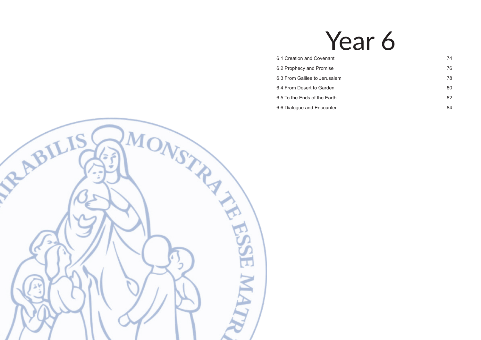# Year 6

- [6.1 Creation and Covenant](#page-37-0) 6.1 Creation and Covenant
- [6.2 Prophecy and Promise](#page-38-0) 76
- [6.3 From Galilee to Jerusalem](#page-39-0) 78
- [6.4 From Desert to Garden](#page-40-0) 80
- [6.5 To the Ends of the Earth](#page-41-0) 82
- [6.6 Dialogue and Encounter](#page-42-0) 84

<span id="page-36-0"></span>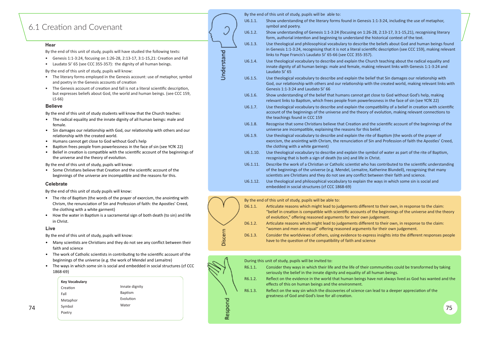## <span id="page-37-0"></span>6.1 Creation and Covenant

#### **Hear**

- Genesis 1:1-3:24, focusing on 1:26-28, 2:13-17, 3:1-15,21: Creation and Fall
- Laudato Si' 65 (see CCC 355-357): the dignity of all human beings.

- The radical equality and the innate dignity of all human beings: male and female.
- Sin damages our relationship with God, our relationship with others and our relationship with the created world.
- Humans cannot get close to God without God's help
- Baptism frees people from powerlessness in the face of sin (see YCfK 22)
- Belief in creation is compatible with the scientific account of the beginnings of the universe and the theory of evolution.
- The literary forms employed in the Genesis account: use of metaphor, symbol and poetry in the Genesis accounts of creation
- The Genesis account of creation and fall is not a literal scientific description. but expresses beliefs about God, the world and human beings. (see CCC 159, LS 66)

#### **Believe**

- The rite of Baptism (the words of the prayer of exorcism, the anointing with Chrism, the renunciation of Sin and Profession of faith: the Apostles' Creed, the clothing with a white garment)
- How the water in Baptism is a sacramental sign of both death (to sin) and life in Christ.

- Many scientists are Christians and they do not see any conflict between their faith and science
- The work of Catholic scientists in contributing to the scientific account of the beginnings of the universe (e.g. the work of Mendel and Lemaitre)
- The ways in which some sin is social and embedded in social structures (cf CCC 1868-69)

|                                                                                                                                                                                                                                 |            |          | By the end of this unit of study, pupils will be able to:                                                                                                                                                  |
|---------------------------------------------------------------------------------------------------------------------------------------------------------------------------------------------------------------------------------|------------|----------|------------------------------------------------------------------------------------------------------------------------------------------------------------------------------------------------------------|
| Creation and Covenant                                                                                                                                                                                                           |            | U6.1.1.  | Show understanding of the literary forms found in Genesis 1:1-3<br>symbol and poetry.                                                                                                                      |
|                                                                                                                                                                                                                                 |            | U6.1.2.  | Show understanding of Genesis 1:1-3:24 (focusing on 1:26-28, 2<br>form, authorial intention and beginning to understand the histo                                                                          |
| <b>Hear</b>                                                                                                                                                                                                                     |            | U6.1.3.  | Use theological and philosophical vocabulary to describe the be                                                                                                                                            |
| By the end of this unit of study, pupils will have studied the following texts:                                                                                                                                                 |            |          | in Genesis 1:1-3:24, recognising that it is not a literal scientific d<br>links to Pope Francis's Laudato Si' 65-66 (see CCC 355-357).                                                                     |
| • Genesis 1:1-3:24, focusing on 1:26-28, 2:13-17, 3:1-15, 21: Creation and Fall<br>Laudato Si' 65 (see CCC 355-357): the dignity of all human beings.<br>$\bullet$                                                              | Understand | U6.1.4.  | Use theological vocabulary to describe and explain the Church t<br>innate dignity of all human beings: male and female, making rel                                                                         |
| By the end of this unit of study, pupils will know:                                                                                                                                                                             |            |          | Laudato Si' 65                                                                                                                                                                                             |
| The literary forms employed in the Genesis account: use of metaphor, symbol<br>$\bullet$<br>and poetry in the Genesis accounts of creation<br>The Genesis account of creation and fall is not a literal scientific description, |            | U6.1.5.  | Use theological vocabulary to describe and explain the belief th<br>God, our relationship with others and our relationship with the                                                                        |
| $\bullet$<br>but expresses beliefs about God, the world and human beings. (see CCC 159,<br>LS 66)                                                                                                                               |            | U6.1.6.  | Genesis 1:1-3:24 and Laudato Si' 66<br>Show understanding of the belief that humans cannot get close<br>relevant links to Baptism, which frees people from powerlessne                                     |
| <b>Believe</b>                                                                                                                                                                                                                  |            | U6.1.7.  | Use theological vocabulary to describe and explain the compatil                                                                                                                                            |
| By the end of this unit of study students will know that the Church teaches:<br>• The radical equality and the innate dignity of all human beings: male and                                                                     |            |          | account of the beginnings of the universe and the theory of evo<br>the teachings found in CCC 159                                                                                                          |
| female.<br>Sin damages our relationship with God, our relationship with others and our                                                                                                                                          |            | U6.1.8.  | Recognise that some Christians believe that Creation and the sc<br>universe are incompatible, explaining the reasons for this belief.                                                                      |
| relationship with the created world.<br>Humans cannot get close to God without God's help<br>$\bullet$<br>Baptism frees people from powerlessness in the face of sin (see YCfK 22)<br>$\bullet$                                 |            | U6.1.9.  | Use theological vocabulary to describe and explain the rite of Ba<br>exorcism, the anointing with Chrism, the renunciation of Sin and<br>the clothing with a white garment)                                |
| Belief in creation is compatible with the scientific account of the beginnings of<br>$\bullet$<br>the universe and the theory of evolution.                                                                                     |            | U6.1.10. | Use theological vocabulary to describe and explain the symbol of<br>recognising that is both a sign of death (to sin) and life in Christ.                                                                  |
| By the end of this unit of study, pupils will know:<br>Some Christians believe that Creation and the scientific account of the<br>$\bullet$<br>beginnings of the universe are incompatible and the reasons for this.            |            | U6.1.11. | Describe the work of a Christian or Catholic scientist who has co<br>of the beginnings of the universe (e.g. Mendel, Lemaitre, Kather<br>scientists are Christians and they do not see any conflict betwee |
| <b>Celebrate</b>                                                                                                                                                                                                                |            | U6.1.12. | Use theological and philosophical vocabulary to explain the way<br>embedded in social structures (cf CCC 1868-69)                                                                                          |

By the end of this unit of study pupils will know:

#### **Live**

By the end of this unit of study, pupils will know:





During this unit of study, pupils will be invited to:

| R6.1.1. | Consider they ways in which their life and the life of their communities could be transformed by taking |
|---------|---------------------------------------------------------------------------------------------------------|
|         | seriously the belief in the innate dignity and equality of all human beings.                            |
| R6.1.2. | Reflect on the evidence in the world that human beings have not always lived as God has wanted and the  |
|         | effects of this on human beings and the environment.                                                    |



is 1:1-3:24, including the use of metaphor,

- 6-28, 2:13-17, 3:1-15,21), recognising literary e historical context of the text.
- the beliefs about God and human beings found ntific description (see CCC 159), making relevant
- hurch teaching about the radical equality and ing relevant links with Genesis 1:1-3:24 and
- elief that Sin damages our relationship with th the created world, making relevant links with
- t close to God without God's help, making rlessness in the face of sin (see YCfK 22)
- If.1.1.1.1. Unpatibility of a belief in creation with scientific of evolution, making relevant connections to
- the scientific account of the beginnings of the
- te of Baptism (the words of the prayer of Sin and Profession of faith the Apostles' Creed,
- mbol of water as part of the rite of Baptism,
- has contributed to the scientific understanding Katherine Blundell), recognising that many
- between their faith and science.
- he ways in which some sin is social and
- 
- 
- 
- 
- f all human beings.
- 
- 

|    | <b>Key Vocabulary</b> |                           | R6.1.2. | Reflect on the evidence in the world that human beings have not always lived as God has wanted and th                                                                                                         |    |
|----|-----------------------|---------------------------|---------|---------------------------------------------------------------------------------------------------------------------------------------------------------------------------------------------------------------|----|
|    | Creation<br>Fall      | Innate dignity<br>Baptism | R6.1.3. | effects of this on human beings and the environment.<br>Reflect on the way sin which the discoveries of science can lead to a deeper appreciation of the<br>greatness of God and God's love for all creation. |    |
|    | Metaphor              | Evolution                 |         |                                                                                                                                                                                                               |    |
| 74 | Symbol                | Water                     |         |                                                                                                                                                                                                               | フロ |
|    | Poetry                |                           |         |                                                                                                                                                                                                               |    |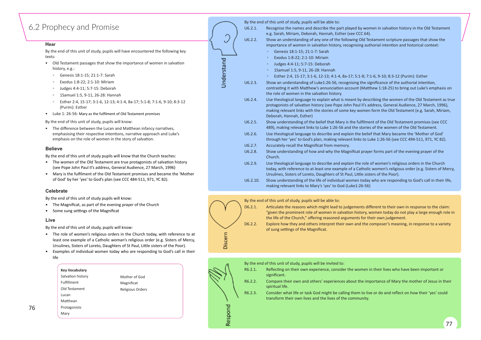## <span id="page-38-0"></span>6.2 Prophecy and Promise

#### **Hear**

By the end of this unit of study, pupils will have encountered the following key texts:

- Old Testament passages that show the importance of women in salvation history, e.g.:
	- Genesis 18:1-15; 21:1-7: Sarah
	- Exodus 1:8-22; 2:1-10: Miriam
	- Judges 4:4-11; 5:7-15: Deborah
	- 1Samuel 1:5, 9-11, 26-28: Hannah
	- Esther 2:4, 15-17; 3:1-6, 12-13; 4:1-4, 8a-17; 5:1-8; 7:1-6, 9-10; 8:3-12 (Purim): Esther
- Luke 1: 26-56: Mary as the fulfilment of Old Testament promises

By the end of this unit of study, pupils will know:

• The difference between the Lucan and Matthean infancy narratives, emphasising their respective intentions, narrative approach and Luke's emphasis on the role of women in the story of salvation.

- The women of the Old Testament are true protagonists of salvation history (see Pope John Paul II's address, General Audience, 27 March, 1996)
- Mary is the fulfilment of the Old Testament promises and became the 'Mother of God' by her 'yes' to God's plan (see CCC 484-511, 971, YC 82).

#### **Believe**

By the end of this unit of study pupils will know that the Church teaches:

By the end of this unit of study, pupils will be able to:

- The Magnificat, as part of the evening prayer of the Church
- Some sung settings of the Magnificat

| U6.2.1.  | Recognise the names and describe the part played by won<br>e.g. Sarah, Miriam, Deborah, Hannah, Esther (see CCC 64).                                                                                               |
|----------|--------------------------------------------------------------------------------------------------------------------------------------------------------------------------------------------------------------------|
| U6.2.2.  | Show an understanding of any one of the following Old Tes<br>importance of women in salvation history, recognising aut                                                                                             |
|          | Genesis 18:1-15; 21:1-7: Sarah<br>$\circ$                                                                                                                                                                          |
|          | Exodus 1:8-22; 2:1-10: Miriam<br>$\circ$                                                                                                                                                                           |
|          | Judges 4:4-11; 5:7-15: Deborah<br>$\circ$                                                                                                                                                                          |
|          | 1Samuel 1:5, 9-11, 26-28: Hannah<br>$\circ$                                                                                                                                                                        |
|          | Esther 2:4, 15-17; 3:1-6, 12-13; 4:1-4, 8a-17; 5:1-8; 7:1<br>$\circ$                                                                                                                                               |
| U6.2.3.  | Show an understanding of Luke1:26-56, recognising the sig<br>contrasting it with Matthew's annunciation account (Mattl<br>the role of women in the salvation history.                                              |
| U6.2.4.  | Use theological language to explain what is meant by desc<br>protagonists of salvation history (see Pope John Paul II's ac<br>making relevant links with the stories of some key women<br>Deborah, Hannah, Esther) |
| U6.2.5.  | Show understanding of the belief that Mary is the fulfilme<br>489), making relevant links to Luke 1:26-56 and the stories                                                                                          |
| U6.2.6.  | Use theological language to describe and explain the belie<br>through her 'yes' to God's plan, making relevant links to Lu                                                                                         |
| U6.2.7.  | Accurately recall the Magnificat from memory.                                                                                                                                                                      |
| U6.2.8.  | Show understanding of how and why the Magnificat praye<br>Church.                                                                                                                                                  |
| U6.2.9.  | Use theological language to describe and explain the role of<br>today, with reference to at least one example of a Catholic<br>Ursulines, Sisters of Loreto, Daughters of St Paul, Little sist                     |
| U6.2.10. | Show understanding of the life of individual women today<br>making relevant links to Mary's 'yes' to God (Luke1:26-56)                                                                                             |



#### **Celebrate**

By the end of this unit of study pupils will know:

#### **Live**

By the end of this unit of study, pupils will know:

- The role of women's religious orders in the Church today, with reference to at least one example of a Catholic woman's religious order (e.g. Sisters of Mercy, Ursulines, Sisters of Loreto, Daughters of St Paul, Little sisters of the Poor).
- Examples of individual women today who are responding to God's call in their life

By the end of this unit of study, pupils will be able to:

- D6.2.1. Articulate the reasons which might lead to judgements different to their own in response to the claim: "given the prominent role of women in salvation history, women today do not play a large enough role in the life of the Church," offering reasoned arguments for their own judgement.
- D6.2.2. Explore how they and others interpret their own and the composer's meaning, in response to a variety of sung settings of the Magnificat.



- women in salvation history in the Old Testament
- d Testament scripture passages that show the authorial intention and historical context:
- 1; 7:1-6, 9-10; 8:3-12 (Purim): Esther e significance of the authorial intention, Aatthew 1:18-25) to bring out Luke's emphasis on
- describing the women of the Old Testament as true 's address, General Audience, 27 March, 1996), men form the Old Testament (e.g. Sarah, Miriam,
- Iment of the Old Testament promises (see CCC ories of the women of the Old Testament.
- elief that Mary became the 'Mother of God' to Luke 1:26-56 (see CCC 494-511, 971, YC 82).
- rayer forms part of the evening prayer of the
- ole of women's religious orders in the Church tolic women's religious order (e.g. Sisters of Mercy, sisters of the Poor).
- day who are responding to God's call in their life,

- 
- 

77

| Key Vocabulary    |
|-------------------|
| Salvation history |
| Fulfillment       |
| Old Testament     |
| Lucan             |
| Matthean          |
| Protagonists      |
| Mary              |

Mother of God Magnificat Religious Orders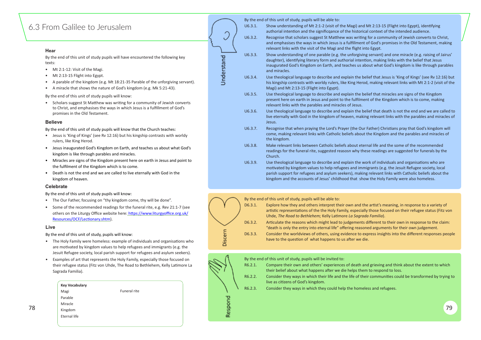## <span id="page-39-0"></span>6.3 From Galilee to Jerusalem

#### **Hear**

By the end of this unit of study pupils will have encountered the following key texts:

- Mt 2:1-12: Visit of the Magi.
- Mt 2:13-15 Flight into Egypt.
- A parable of the kingdom (e.g. Mt 18:21-35 Parable of the unforgiving servant).
- A miracle that shows the nature of God's kingdom (e.g. Mk 5:21-43).

• Scholars suggest St Matthew was writing for a community of Jewish converts to Christ, and emphasises the ways in which Jesus is a fulfillment of God's promises in the Old Testament.

By the end of this unit of study pupils will know:

#### **Believe**

By the end of this unit of study pupils will know that the Church teaches:

- Jesus is 'King of Kings' (see Rv 12:16) but his kingship contrasts with worldy rulers, like King Herod.
- Jesus inaugurated God's Kingdom on Earth, and teaches us about what God's kingdom is like through parables and miracles.
- Miracles are signs of the Kingdom present here on earth in Jesus and point to the fulfilment of the Kingdom which is to come.
- Death is not the end and we are called to live eternally with God in the kingdom of heaven.

By the end of this unit of study, pupils will be able to:

- U6.3.1. Show understanding of Mt 2:1-2 (visit of the Magi) and Mt 2:13-15 (Flight into Egypt), iden�fying authorial intention and the significqance of the historical context of the intended audience.
- U6.3.2. Recognise that scholars suggest St Matthew was writing for a community of Jewish converts to Christ, and emphasises the ways in which Jesus is a fulfillment of God's promises in the Old Testament, making relevant links with the visit of the Magi and the flight into Egypt.
- U6.3.3. Show understanding of one parable (e.g. the unforgiving servant) and one miracle (e.g. raising of Jairus' daughter), identifying literary form and authorial intention, making links with the belief that Jesus inaugurated God's Kingdom on Earth, and teaches us about what God's kingdom is like through parables

- 
- 
- 
- m to respond to loss.
- 
- 
- The Our Father, focusing on "thy kingdom come, thy will be done".
- Some of the recommended readings for the funeral rite, e.g. Rev 21:1-7 (see others on the Liturgy Office website here: https://www.liturgyoffice.org.uk/ Resources/OCF/Lectionary.shtm).

and miracles.



- The Holy Family were homeless: example of individuals and organisations who are motivated by kingdom values to help refugees and immigrants (e.g. the Jesuit Refugee society, local parish support for refugees and asylum seekers).
- Examples of art that represents the Holy Family, especially those focused on their refugee status (Fitz von Uhde, The Road to Bethlehem, Kelly Latimore La Sagrada Familia).
- - U6.3.4. Use theological language to describe and explain the belief that Jesus is 'King of Kings' (see Rv 12:16) but his kingship contrasts with worldy rulers, like King Herod, making relevant links with Mt 2:1-2 (visit of the Magi) and Mt 2:13-15 (Flight into Egypt).
	- U6.3.5. Use theological language to describe and explain the belief that miracles are signs of the Kingdom present here on earth in Jesus and point to the fulfilment of the Kingdom which is to come, making relevant links with the parables and miracles of Jesus.
	- U6.3.6. Use theological language to describe and explain the belief that death is not the end and we are called to live eternally with God in the kingdom of heaven, making relevant links with the parables and miracles of Jesus.
	- U6.3.7. Recognise that when praying the Lord's Prayer (the Our Father) Christians pray that God's kingdom will come, making relevant links with Catholic beliefs about the Kingdom and the parables and miracles of the kingdom.
	- U6.3.8. Make relevant links between Catholic beliefs about eternal life and the some of the recommended readings for the funeral rite, suggested reasosn why these readings are suggested for funerals by the Church.
	- U6.3.9. Use theological language to describe and explain the work of individuals and organisations who are motivated by kingdom values to help refugees and immigrants (e.g. the Jesuit Refugee society, local parish support for refugees and asylum seekers), making relevant links with Catholic beliefs about the kingdom and the accounts of Jesus' childhood that show the Holy Family were also homeless.

|    | <b>Key Vocabulary</b><br>Funeral rite<br>Magi |  | R6.2.3. | live as citizens of God's kingdom.<br>Consider they ways in which they could help the homeless and refugees. |
|----|-----------------------------------------------|--|---------|--------------------------------------------------------------------------------------------------------------|
|    | Parable                                       |  |         |                                                                                                              |
|    | Miracle                                       |  |         |                                                                                                              |
| 78 | Kingdom                                       |  |         | 79                                                                                                           |
|    | Eternal life                                  |  |         |                                                                                                              |
|    |                                               |  |         |                                                                                                              |

Ĵ Understand

### **Celebrate**

By the end of this unit of study pupils will know:

#### **Live**

By the end of this unit of study, pupils will know:



By the end of this unit of study, pupils will be invited to:

| R6.2.1. | Compare their own and others' experiences of death and grieving and think about the extent to which<br>their belief about what happens after we die helps them to respond to loss. |
|---------|------------------------------------------------------------------------------------------------------------------------------------------------------------------------------------|
| R6.2.2. | Consider they ways in which their life and the life of their communities could be transformed by trying to<br>live as citizens of God's kingdom.                                   |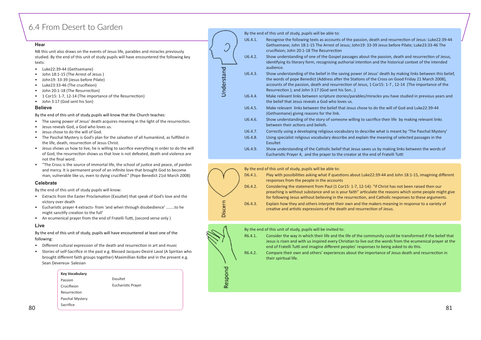## <span id="page-40-0"></span>6.4 From Desert to Garden

#### **Hear**

NB this unit also draws on the events of Jesus life, parables and miracles previously studied. By the end of this unit of study pupils will have encountered the following key texts:

- Luke22:39-44 (Gethsemane)
- John 18:1-15 (The Arrest of Jesus )
- John19: 33-39 (Jesus before Pilate)
- Luke23:33-46 (The crucifixion)
- John 20:1-18 (The Resurrection)
- 1 Cor15: 1-7, 12-14 (The importance of the Resurrection)
- John 3:17 (God sent his Son)

#### **Believe**

By the end of this unit of study pupils will know that the Church teaches:

- The saving power of Jesus' death acquires meaning in the light of the resurrection.
- Jesus reveals God, a God who loves us.
- Jesus chose to do the will of God.
- The Paschal Mystery is God's plan for the salvation of all humankind, as fulfilled in the life, death, resurrection of Jesus Christ.
- Jesus shows us how to live, he is willing to sacrifice everything in order to do the will of God; the resurrection shows us that love is not defeated, death and violence are not the final word.
- "The Cross is the source of immortal life, the school of jus�ce and peace, of pardon and mercy. It is permanent proof of an infinite love that brought God to become man, vulnerable like us, even to dying crucified." (Pope Benedict 21st March 2008)

By the end of this unit of study, pupils will be able to:

- U6.4.1. Recognise the following texts as accounts of the passion, death and resurrection of Jesus: Luke22:39-44 Gethsemane; John 18:1-15 The Arrest of Jesus; John19: 33-39 Jesus before Pilate; Luke23:33-46 The crucifixion; John 20:1-18 The Resurrection
- U6.4.2. Show understanding of one of the Gospel passages about the passion, death and resurrection of Jesus, identifying its literary form, recognising authorial intention and the historical context of the intended audience.
- U6.4.3. Show understanding of the belief in the saving power of Jesus' death by making links between this belief, the words of pope Benedict (Address after the Stations of the Cross on Good Friday 21 March 2008), accounts of the passion, death and resurrection of Jesus, 1 Cor15: 1-7, 12-14 (The importance of the Resurrection ); and John 3:17 (God sent his Son...)
- U6.4.4. Make relevant links between scripture stories/parables/miracles you have studied in previous years and the belief that Jesus reveals a God who loves us.
- U6.4.5. Make relevant links between the belief that Jesus chose to do the will of God and Luke22:39-44 (Gethsemane) giving reasons for the link.
- U6.4.6. Show understanding of the story of someone willing to sacrifice their life by making relevant links between their actions and beliefs.
- U6.4.7. Correctly using a developing religious vocabulary to describe what is meant by 'The Paschal Mystery'
- U6.4.8. Using specialist religious vocabulary describe and explain the meaning of selected passages in the Exsultet
- U6.4.9. Show understanding of the Catholic belief that Jesus saves us by making links between the words of Eucharistic Prayer 4, and the prayer to the creator at the end of Fratelli Tutti

- Different cultural expression of the death and resurrection in art and music
- Stories of self-Sacrifice in the past e.g. Blessed Jacques-Desiré Laval (A Spiritan who brought different faith groups together) Maximillian Kolbe and in the present e.g. Sean Devereux- Salesian

R6.4.1. Consider the way in which their life and the life of the community could be transformed if the belief that Jesus is risen and with us inspired every Christian to live out the words from the ecumenical prayer at the end of Fratelli Tutti and imagine different peoples' responses to being asked to do this. R6.4.2. Compare their own and others' experiences about the importance of Jesus death and resurrection in

#### **Celebrate**

By the end of this unit of study pupils will know:

- Extracts from the Easter Proclamation (Exsultet) that speak of God's love and the victory over death
- Eucharis�c prayer 4 extracts- from 'and when through disobedience' ……..to he might sanctify creation to the full'
- An ecumenical prayer from the end of Fratelli Tutti, (second verse only )

#### **Live**

By the end of this unit of study, pupils will have encountered at least one of the following:



D6.4.1. Play with possibilities asking what if questions about Luke22:39-44 and John 18:1-15, imagining different responses from the people in the accounts D6.4.2. Considering the statement from Paul (1 Cor15: 1-7, 12-14): "if Christ has not been raised then our preaching is without substance and so is your faith" ar�culate the reasons which some people might give for following Jesus without believing in the resurrection, and Catholic responses to these arguments. Discern D6.4.3. Explain how they and others interpret their own and the makers meaning in response to a variety of creative and artistic expressions of the death and resurrection of Jesus.



By the end of this unit of study, pupils will be invited to:

their spiritual life.

|    | <b>Key Vocabulary</b><br>Passion | Exsultet           | un       |  |  |
|----|----------------------------------|--------------------|----------|--|--|
|    | Crucifixion                      | Eucharistic Prayer | $\alpha$ |  |  |
|    | Resurrection                     |                    |          |  |  |
|    | Paschal Mystery                  |                    |          |  |  |
| 80 | Sacrifice                        |                    |          |  |  |
|    |                                  |                    |          |  |  |

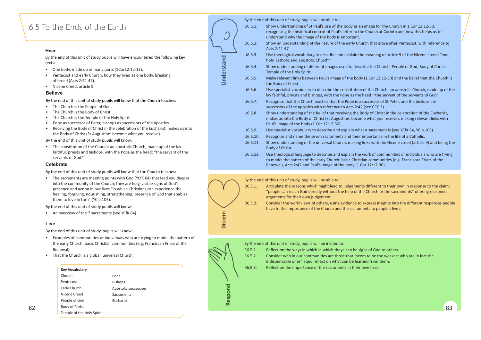## <span id="page-41-0"></span>6.5 To the Ends of the Earth

#### **Hear**

- One body, made up of many parts (1Cor12:12-13).
- Pentecost and early Church, how they lived as one body, breaking of bread (Acts 2:42-47).
- Nicene Creed, article 9.

- The Church is the People of God.
- The Church is the Body of Christ.
- The Church is the Temple of the Holy Spirit.
- Pope as successor of Peter, bishops as successors of the apostles
- Receiving the Body of Christ in the celebration of the Eucharist, makes us into the Body of Christ (St Augustine: become what you receive).

#### **Believe**

• The sacraments are meeting points with God (YCfK 64) that lead you deeper into the community of the Church; they are holy, visible signs of God's presence and action in our lives "in which Christians can experience the healing, forgiving, nourishing, strengthening, presence of God that enables them to love in turn" (YC p.105).

- Examples of communities or individuals who are trying to model the pattern of the early Church: basic Christian communities (e.g. Franciscan Friars of the Renewal).
- That the Church is a global, universal Church.

|                                                                                                                                                                                               |            |          | By the end of this unit of study, pupils will be able to:                                                                                                                                          |
|-----------------------------------------------------------------------------------------------------------------------------------------------------------------------------------------------|------------|----------|----------------------------------------------------------------------------------------------------------------------------------------------------------------------------------------------------|
| o the Ends of the Earth                                                                                                                                                                       |            | U6.5.1.  | Show understanding of St Paul's use of the body as an image for th<br>recognising the historical context of Paul's letter to the Church at C<br>understand why the image of the body is important. |
| Hear                                                                                                                                                                                          |            | U6.5.2.  | Show an understanding of the nature of the early Church that aros<br>Acts 2:42-47                                                                                                                  |
| By the end of this unit of study pupils will have encountered the following key<br>texts:                                                                                                     |            | U6.5.3.  | Use theological vocabulary to describe and explain the meaning of<br>holy, catholic and apostolic Church"                                                                                          |
| One body, made up of many parts (1Cor12:12-13).<br>$\bullet$                                                                                                                                  | Understand | U6.5.4.  | Show understanding of different images used to describe the Chur<br>Temple of the Holy Spirit.                                                                                                     |
| Pentecost and early Church, how they lived as one body, breaking<br>of bread (Acts 2:42-47).                                                                                                  |            | U6.5.5.  | Make relevant links between Paul's image of the body (1 Cor 12:12<br>the Body of Christ.                                                                                                           |
| Nicene Creed, article 9.<br>$\bullet$<br><b>Believe</b>                                                                                                                                       |            | U6.5.6.  | Use specialist vocabulary to describe the constitution of the Churc<br>lay faithful, priests and bishops, with the Pope as the head: "the se                                                       |
| By the end of this unit of study pupils will know that the Church teaches:<br>The Church is the People of God.<br>$\bullet$                                                                   |            | U6.5.7.  | Recognise that the Church teaches that the Pope is a successor of !<br>successors of the apostles with reference to Acts 2:42 (see CCC 3)                                                          |
| The Church is the Body of Christ.<br>$\bullet$<br>The Church is the Temple of the Holy Spirit.<br>$\bullet$<br>Pope as successor of Peter, bishops as successors of the apostles<br>$\bullet$ |            | U6.5.8.  | Show understanding of the belief that receiving the Body of Christ<br>makes us into the Body of Christ (St Augustine: become what you r<br>Paul's image of the body (1 Cor 12:12-30).              |
| Receiving the Body of Christ in the celebration of the Eucharist, makes us into<br>$\bullet$<br>the Body of Christ (St Augustine: become what you receive).                                   |            | U6.5.9.  | Use specialist vocabulary to describe and explain what a sacramen                                                                                                                                  |
| By the end of this unit of study pupils will know:                                                                                                                                            |            | U6.5.10. | Recognise and name the seven sacraments and their importance in                                                                                                                                    |
| The constitution of the Church: an apostolic Church, made up of the lay<br>$\bullet$                                                                                                          |            | U6.5.11. | Show understanding of the universal Church, making links with the<br>Body of Christ.                                                                                                               |
| faithful, priests and bishops, with the Pope as the head: "the servant of the<br>servants of God."                                                                                            |            | U6.5.12. | Use theological language to describe and explain the work of comr<br>to model the pattern of the early Church: basic Christian communi                                                             |
| <b>Celebrate</b>                                                                                                                                                                              |            |          | Renewal), Acts 2:42 and Paul's image of the body (1 Cor 12:12-30).                                                                                                                                 |

Discern

D6.5.1. Articulate the reasons which might lead to judgements different to their own in response to the claim: "people can reach God directly without the help of the Church or the sacraments" offering reasoned

By the end of this unit of study pupils will know that the Church teaches:

By the end of this unit of study pupils will know:

• An overview of the 7 sacraments (see YCfK 64).

#### **Live**

By the end of this unit of study, pupils will know:



D6.5.2. Consider the worldviews of others, using evidence to express insights into the different responses people have to the importance of the Church and the sacraments to people's lives.



image for the Church in 1 Cor 12:12-30, church at Corinth and how this helps us to

ch that arose after Pentecost, with reference to

meaning of article 9 of the Nicene creed: "one,

ibe the Church: People of God; Body of Christ;

 $(1$  Cor 12:12-30) and the belief that the Church is

of the Church: an apostolic Church, made up of the lead: "the servant of the servants of God" uccessor of St Peter, and the bishops are

ody of Christ in the celebration of the Eucharist, e what you receive), making relevant links with

a sacrament is (see YCfK 64, YC p.105)

mportance in the life of a Catholic.

inks with the Nicene creed (article 9) and being the

vork of communities or individuals who are trying an communities (e.g. Franciscan Friars of the

### **Key Vocabulary**

|    | Church                    | Pope                 |  |  |  |    |
|----|---------------------------|----------------------|--|--|--|----|
|    | Pentecost                 | Bishops              |  |  |  |    |
|    | Early Church              | Apostolic succession |  |  |  |    |
|    | Nicene Creed              | Sacraments           |  |  |  |    |
|    | People of God             | Eucharist            |  |  |  |    |
| 82 | Body of Christ            |                      |  |  |  | 83 |
|    | Temple of the Holy Spirit |                      |  |  |  |    |